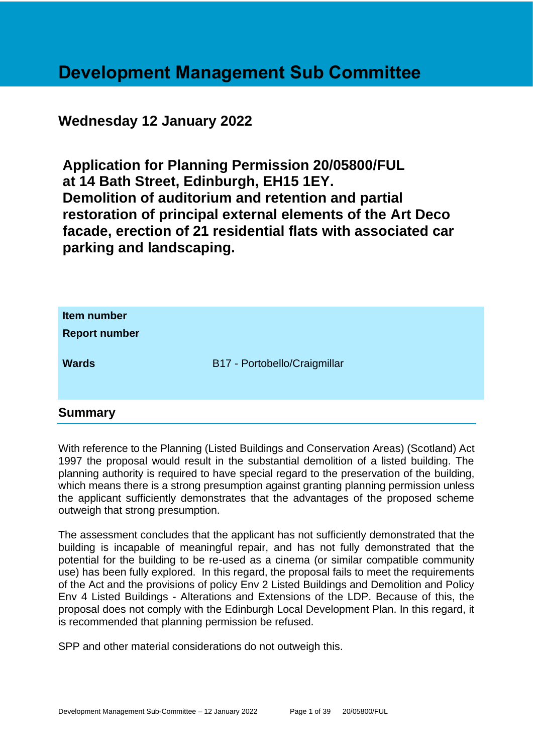## **Development Management Sub Committee**

## **Wednesday 12 January 2022**

**Application for Planning Permission 20/05800/FUL at 14 Bath Street, Edinburgh, EH15 1EY. Demolition of auditorium and retention and partial restoration of principal external elements of the Art Deco facade, erection of 21 residential flats with associated car parking and landscaping.**

| Item number<br><b>Report number</b> |                              |
|-------------------------------------|------------------------------|
| <b>Wards</b>                        | B17 - Portobello/Craigmillar |

## **Summary**

With reference to the Planning (Listed Buildings and Conservation Areas) (Scotland) Act 1997 the proposal would result in the substantial demolition of a listed building. The planning authority is required to have special regard to the preservation of the building, which means there is a strong presumption against granting planning permission unless the applicant sufficiently demonstrates that the advantages of the proposed scheme outweigh that strong presumption.

The assessment concludes that the applicant has not sufficiently demonstrated that the building is incapable of meaningful repair, and has not fully demonstrated that the potential for the building to be re-used as a cinema (or similar compatible community use) has been fully explored. In this regard, the proposal fails to meet the requirements of the Act and the provisions of policy Env 2 Listed Buildings and Demolition and Policy Env 4 Listed Buildings - Alterations and Extensions of the LDP. Because of this, the proposal does not comply with the Edinburgh Local Development Plan. In this regard, it is recommended that planning permission be refused.

SPP and other material considerations do not outweigh this.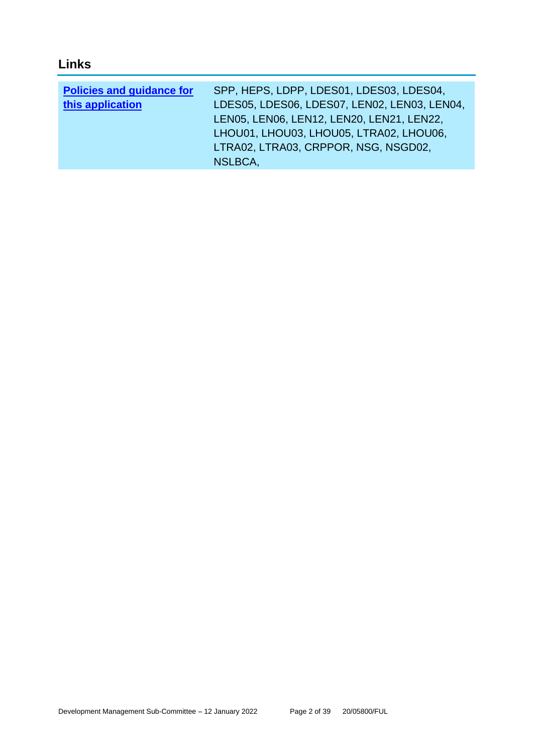## **Links**

| <b>Policies and guidance for</b> | SPP, HEPS, LDPP, LDES01, LDES03, LDES04,     |
|----------------------------------|----------------------------------------------|
| this application                 | LDES05, LDES06, LDES07, LEN02, LEN03, LEN04, |
|                                  | LEN05, LEN06, LEN12, LEN20, LEN21, LEN22,    |
|                                  | LHOU01, LHOU03, LHOU05, LTRA02, LHOU06,      |
|                                  | LTRA02, LTRA03, CRPPOR, NSG, NSGD02,         |
|                                  | NSLBCA.                                      |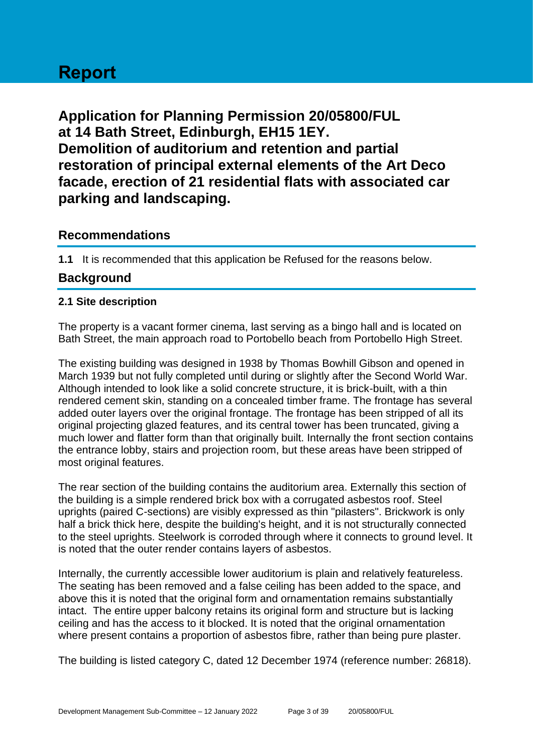# **Report**

**Application for Planning Permission 20/05800/FUL at 14 Bath Street, Edinburgh, EH15 1EY. Demolition of auditorium and retention and partial restoration of principal external elements of the Art Deco facade, erection of 21 residential flats with associated car parking and landscaping.**

## **Recommendations**

**1.1** It is recommended that this application be Refused for the reasons below.

## **Background**

#### **2.1 Site description**

The property is a vacant former cinema, last serving as a bingo hall and is located on Bath Street, the main approach road to Portobello beach from Portobello High Street.

The existing building was designed in 1938 by Thomas Bowhill Gibson and opened in March 1939 but not fully completed until during or slightly after the Second World War. Although intended to look like a solid concrete structure, it is brick-built, with a thin rendered cement skin, standing on a concealed timber frame. The frontage has several added outer layers over the original frontage. The frontage has been stripped of all its original projecting glazed features, and its central tower has been truncated, giving a much lower and flatter form than that originally built. Internally the front section contains the entrance lobby, stairs and projection room, but these areas have been stripped of most original features.

The rear section of the building contains the auditorium area. Externally this section of the building is a simple rendered brick box with a corrugated asbestos roof. Steel uprights (paired C-sections) are visibly expressed as thin "pilasters". Brickwork is only half a brick thick here, despite the building's height, and it is not structurally connected to the steel uprights. Steelwork is corroded through where it connects to ground level. It is noted that the outer render contains layers of asbestos.

Internally, the currently accessible lower auditorium is plain and relatively featureless. The seating has been removed and a false ceiling has been added to the space, and above this it is noted that the original form and ornamentation remains substantially intact. The entire upper balcony retains its original form and structure but is lacking ceiling and has the access to it blocked. It is noted that the original ornamentation where present contains a proportion of asbestos fibre, rather than being pure plaster.

The building is listed category C, dated 12 December 1974 (reference number: 26818).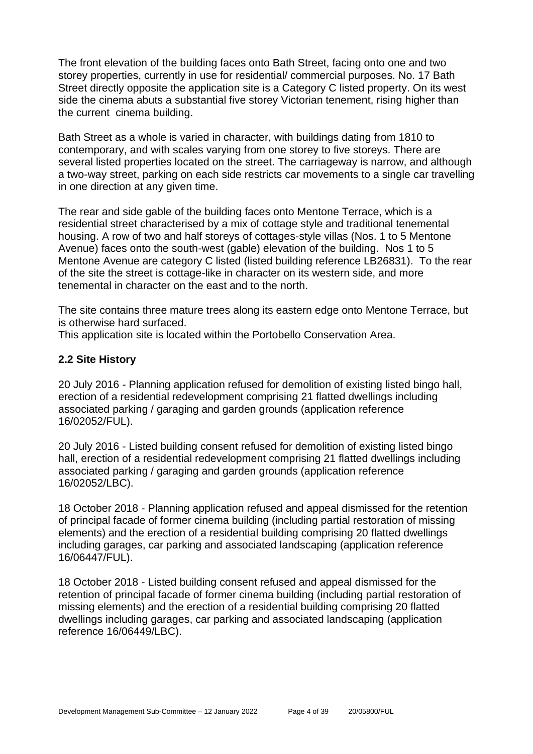The front elevation of the building faces onto Bath Street, facing onto one and two storey properties, currently in use for residential/ commercial purposes. No. 17 Bath Street directly opposite the application site is a Category C listed property. On its west side the cinema abuts a substantial five storey Victorian tenement, rising higher than the current cinema building.

Bath Street as a whole is varied in character, with buildings dating from 1810 to contemporary, and with scales varying from one storey to five storeys. There are several listed properties located on the street. The carriageway is narrow, and although a two-way street, parking on each side restricts car movements to a single car travelling in one direction at any given time.

The rear and side gable of the building faces onto Mentone Terrace, which is a residential street characterised by a mix of cottage style and traditional tenemental housing. A row of two and half storeys of cottages-style villas (Nos. 1 to 5 Mentone Avenue) faces onto the south-west (gable) elevation of the building. Nos 1 to 5 Mentone Avenue are category C listed (listed building reference LB26831). To the rear of the site the street is cottage-like in character on its western side, and more tenemental in character on the east and to the north.

The site contains three mature trees along its eastern edge onto Mentone Terrace, but is otherwise hard surfaced.

This application site is located within the Portobello Conservation Area.

#### **2.2 Site History**

20 July 2016 - Planning application refused for demolition of existing listed bingo hall, erection of a residential redevelopment comprising 21 flatted dwellings including associated parking / garaging and garden grounds (application reference 16/02052/FUL).

20 July 2016 - Listed building consent refused for demolition of existing listed bingo hall, erection of a residential redevelopment comprising 21 flatted dwellings including associated parking / garaging and garden grounds (application reference 16/02052/LBC).

18 October 2018 - Planning application refused and appeal dismissed for the retention of principal facade of former cinema building (including partial restoration of missing elements) and the erection of a residential building comprising 20 flatted dwellings including garages, car parking and associated landscaping (application reference 16/06447/FUL).

18 October 2018 - Listed building consent refused and appeal dismissed for the retention of principal facade of former cinema building (including partial restoration of missing elements) and the erection of a residential building comprising 20 flatted dwellings including garages, car parking and associated landscaping (application reference 16/06449/LBC).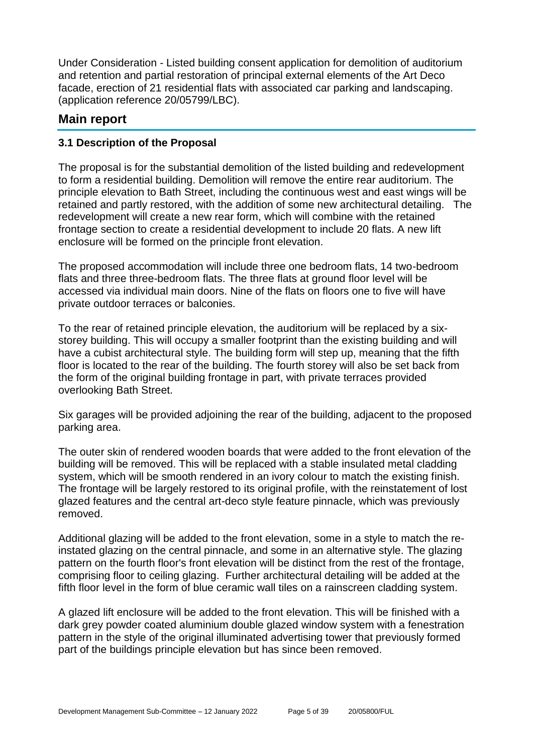Under Consideration - Listed building consent application for demolition of auditorium and retention and partial restoration of principal external elements of the Art Deco facade, erection of 21 residential flats with associated car parking and landscaping. (application reference 20/05799/LBC).

## **Main report**

#### **3.1 Description of the Proposal**

The proposal is for the substantial demolition of the listed building and redevelopment to form a residential building. Demolition will remove the entire rear auditorium. The principle elevation to Bath Street, including the continuous west and east wings will be retained and partly restored, with the addition of some new architectural detailing. The redevelopment will create a new rear form, which will combine with the retained frontage section to create a residential development to include 20 flats. A new lift enclosure will be formed on the principle front elevation.

The proposed accommodation will include three one bedroom flats, 14 two-bedroom flats and three three-bedroom flats. The three flats at ground floor level will be accessed via individual main doors. Nine of the flats on floors one to five will have private outdoor terraces or balconies.

To the rear of retained principle elevation, the auditorium will be replaced by a sixstorey building. This will occupy a smaller footprint than the existing building and will have a cubist architectural style. The building form will step up, meaning that the fifth floor is located to the rear of the building. The fourth storey will also be set back from the form of the original building frontage in part, with private terraces provided overlooking Bath Street.

Six garages will be provided adjoining the rear of the building, adjacent to the proposed parking area.

The outer skin of rendered wooden boards that were added to the front elevation of the building will be removed. This will be replaced with a stable insulated metal cladding system, which will be smooth rendered in an ivory colour to match the existing finish. The frontage will be largely restored to its original profile, with the reinstatement of lost glazed features and the central art-deco style feature pinnacle, which was previously removed.

Additional glazing will be added to the front elevation, some in a style to match the reinstated glazing on the central pinnacle, and some in an alternative style. The glazing pattern on the fourth floor's front elevation will be distinct from the rest of the frontage, comprising floor to ceiling glazing. Further architectural detailing will be added at the fifth floor level in the form of blue ceramic wall tiles on a rainscreen cladding system.

A glazed lift enclosure will be added to the front elevation. This will be finished with a dark grey powder coated aluminium double glazed window system with a fenestration pattern in the style of the original illuminated advertising tower that previously formed part of the buildings principle elevation but has since been removed.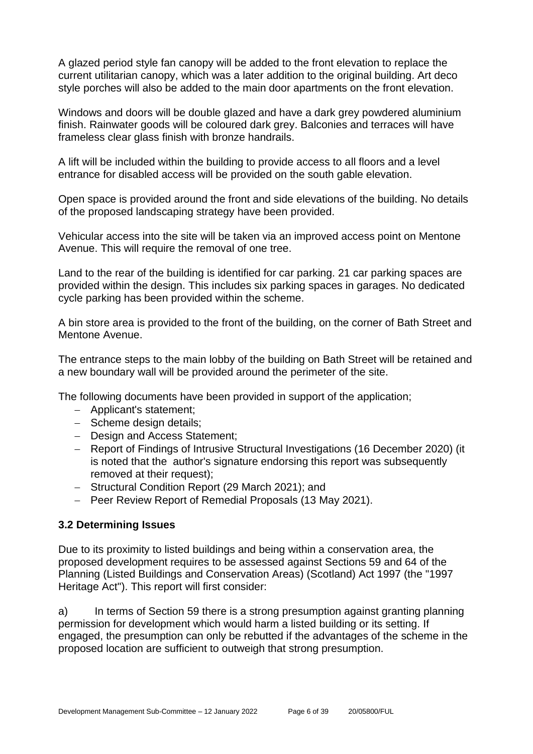A glazed period style fan canopy will be added to the front elevation to replace the current utilitarian canopy, which was a later addition to the original building. Art deco style porches will also be added to the main door apartments on the front elevation.

Windows and doors will be double glazed and have a dark grey powdered aluminium finish. Rainwater goods will be coloured dark grey. Balconies and terraces will have frameless clear glass finish with bronze handrails.

A lift will be included within the building to provide access to all floors and a level entrance for disabled access will be provided on the south gable elevation.

Open space is provided around the front and side elevations of the building. No details of the proposed landscaping strategy have been provided.

Vehicular access into the site will be taken via an improved access point on Mentone Avenue. This will require the removal of one tree.

Land to the rear of the building is identified for car parking. 21 car parking spaces are provided within the design. This includes six parking spaces in garages. No dedicated cycle parking has been provided within the scheme.

A bin store area is provided to the front of the building, on the corner of Bath Street and Mentone Avenue.

The entrance steps to the main lobby of the building on Bath Street will be retained and a new boundary wall will be provided around the perimeter of the site.

The following documents have been provided in support of the application;

- − Applicant's statement;
- − Scheme design details;
- − Design and Access Statement;
- − Report of Findings of Intrusive Structural Investigations (16 December 2020) (it is noted that the author's signature endorsing this report was subsequently removed at their request);
- − Structural Condition Report (29 March 2021); and
- − Peer Review Report of Remedial Proposals (13 May 2021).

#### **3.2 Determining Issues**

Due to its proximity to listed buildings and being within a conservation area, the proposed development requires to be assessed against Sections 59 and 64 of the Planning (Listed Buildings and Conservation Areas) (Scotland) Act 1997 (the "1997 Heritage Act"). This report will first consider:

a) In terms of Section 59 there is a strong presumption against granting planning permission for development which would harm a listed building or its setting. If engaged, the presumption can only be rebutted if the advantages of the scheme in the proposed location are sufficient to outweigh that strong presumption.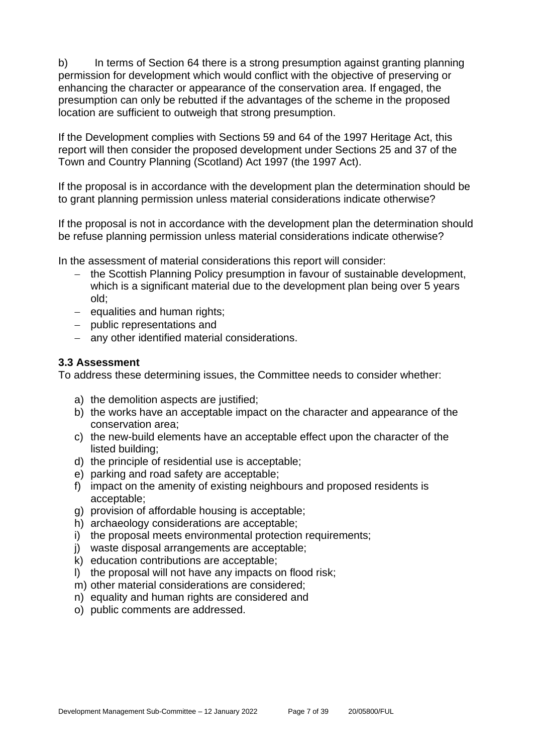b) In terms of Section 64 there is a strong presumption against granting planning permission for development which would conflict with the objective of preserving or enhancing the character or appearance of the conservation area. If engaged, the presumption can only be rebutted if the advantages of the scheme in the proposed location are sufficient to outweigh that strong presumption.

If the Development complies with Sections 59 and 64 of the 1997 Heritage Act, this report will then consider the proposed development under Sections 25 and 37 of the Town and Country Planning (Scotland) Act 1997 (the 1997 Act).

If the proposal is in accordance with the development plan the determination should be to grant planning permission unless material considerations indicate otherwise?

If the proposal is not in accordance with the development plan the determination should be refuse planning permission unless material considerations indicate otherwise?

In the assessment of material considerations this report will consider:

- − the Scottish Planning Policy presumption in favour of sustainable development, which is a significant material due to the development plan being over 5 years old;
- − equalities and human rights;
- − public representations and
- − any other identified material considerations.

#### **3.3 Assessment**

To address these determining issues, the Committee needs to consider whether:

- a) the demolition aspects are justified;
- b) the works have an acceptable impact on the character and appearance of the conservation area;
- c) the new-build elements have an acceptable effect upon the character of the listed building;
- d) the principle of residential use is acceptable;
- e) parking and road safety are acceptable;
- f) impact on the amenity of existing neighbours and proposed residents is acceptable;
- g) provision of affordable housing is acceptable;
- h) archaeology considerations are acceptable;
- i) the proposal meets environmental protection requirements;
- j) waste disposal arrangements are acceptable;
- k) education contributions are acceptable;
- l) the proposal will not have any impacts on flood risk;
- m) other material considerations are considered;
- n) equality and human rights are considered and
- o) public comments are addressed.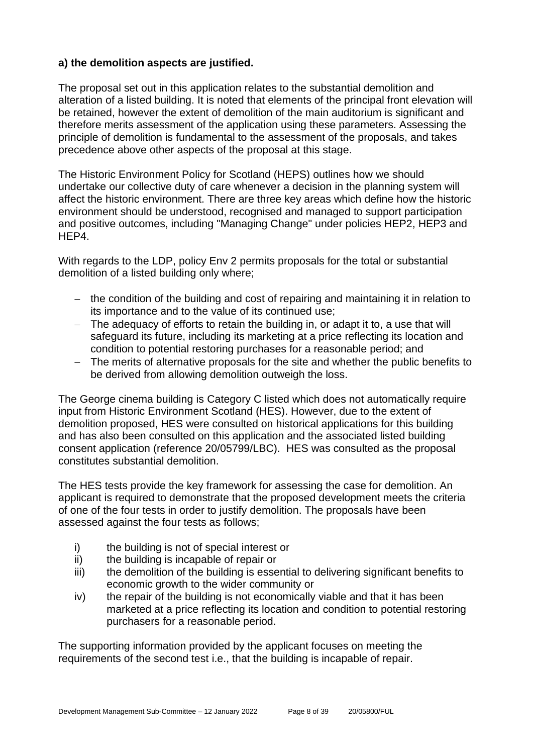#### **a) the demolition aspects are justified.**

The proposal set out in this application relates to the substantial demolition and alteration of a listed building. It is noted that elements of the principal front elevation will be retained, however the extent of demolition of the main auditorium is significant and therefore merits assessment of the application using these parameters. Assessing the principle of demolition is fundamental to the assessment of the proposals, and takes precedence above other aspects of the proposal at this stage.

The Historic Environment Policy for Scotland (HEPS) outlines how we should undertake our collective duty of care whenever a decision in the planning system will affect the historic environment. There are three key areas which define how the historic environment should be understood, recognised and managed to support participation and positive outcomes, including "Managing Change" under policies HEP2, HEP3 and HEP4.

With regards to the LDP, policy Env 2 permits proposals for the total or substantial demolition of a listed building only where;

- − the condition of the building and cost of repairing and maintaining it in relation to its importance and to the value of its continued use;
- − The adequacy of efforts to retain the building in, or adapt it to, a use that will safeguard its future, including its marketing at a price reflecting its location and condition to potential restoring purchases for a reasonable period; and
- − The merits of alternative proposals for the site and whether the public benefits to be derived from allowing demolition outweigh the loss.

The George cinema building is Category C listed which does not automatically require input from Historic Environment Scotland (HES). However, due to the extent of demolition proposed, HES were consulted on historical applications for this building and has also been consulted on this application and the associated listed building consent application (reference 20/05799/LBC). HES was consulted as the proposal constitutes substantial demolition.

The HES tests provide the key framework for assessing the case for demolition. An applicant is required to demonstrate that the proposed development meets the criteria of one of the four tests in order to justify demolition. The proposals have been assessed against the four tests as follows;

- i) the building is not of special interest or
- ii) the building is incapable of repair or
- iii) the demolition of the building is essential to delivering significant benefits to economic growth to the wider community or
- iv) the repair of the building is not economically viable and that it has been marketed at a price reflecting its location and condition to potential restoring purchasers for a reasonable period.

The supporting information provided by the applicant focuses on meeting the requirements of the second test i.e., that the building is incapable of repair.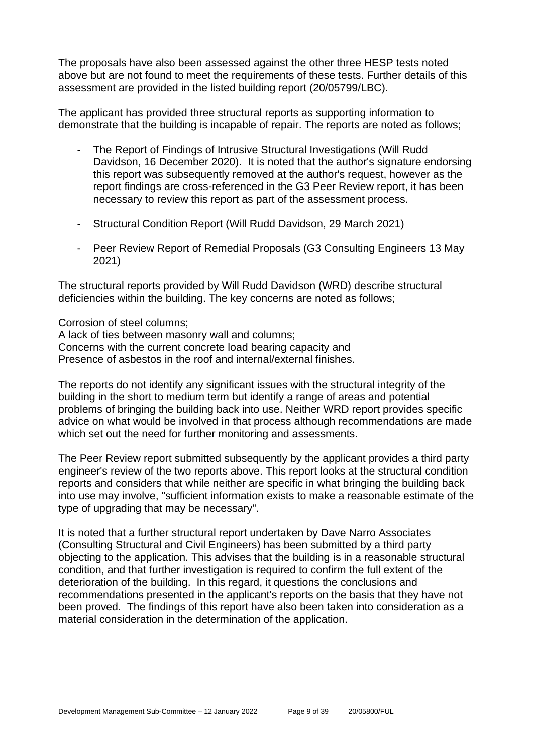The proposals have also been assessed against the other three HESP tests noted above but are not found to meet the requirements of these tests. Further details of this assessment are provided in the listed building report (20/05799/LBC).

The applicant has provided three structural reports as supporting information to demonstrate that the building is incapable of repair. The reports are noted as follows;

- The Report of Findings of Intrusive Structural Investigations (Will Rudd) Davidson, 16 December 2020). It is noted that the author's signature endorsing this report was subsequently removed at the author's request, however as the report findings are cross-referenced in the G3 Peer Review report, it has been necessary to review this report as part of the assessment process.
- Structural Condition Report (Will Rudd Davidson, 29 March 2021)
- Peer Review Report of Remedial Proposals (G3 Consulting Engineers 13 May 2021)

The structural reports provided by Will Rudd Davidson (WRD) describe structural deficiencies within the building. The key concerns are noted as follows;

Corrosion of steel columns;

A lack of ties between masonry wall and columns; Concerns with the current concrete load bearing capacity and Presence of asbestos in the roof and internal/external finishes.

The reports do not identify any significant issues with the structural integrity of the building in the short to medium term but identify a range of areas and potential problems of bringing the building back into use. Neither WRD report provides specific advice on what would be involved in that process although recommendations are made which set out the need for further monitoring and assessments.

The Peer Review report submitted subsequently by the applicant provides a third party engineer's review of the two reports above. This report looks at the structural condition reports and considers that while neither are specific in what bringing the building back into use may involve, "sufficient information exists to make a reasonable estimate of the type of upgrading that may be necessary".

It is noted that a further structural report undertaken by Dave Narro Associates (Consulting Structural and Civil Engineers) has been submitted by a third party objecting to the application. This advises that the building is in a reasonable structural condition, and that further investigation is required to confirm the full extent of the deterioration of the building. In this regard, it questions the conclusions and recommendations presented in the applicant's reports on the basis that they have not been proved. The findings of this report have also been taken into consideration as a material consideration in the determination of the application.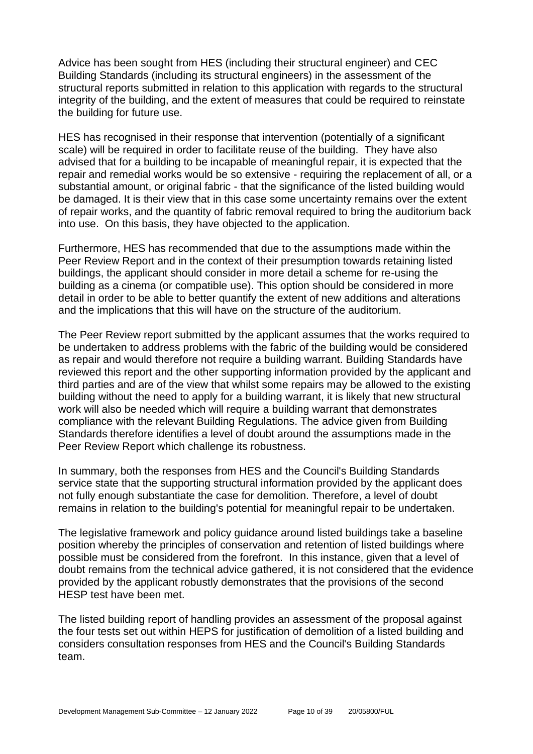Advice has been sought from HES (including their structural engineer) and CEC Building Standards (including its structural engineers) in the assessment of the structural reports submitted in relation to this application with regards to the structural integrity of the building, and the extent of measures that could be required to reinstate the building for future use.

HES has recognised in their response that intervention (potentially of a significant scale) will be required in order to facilitate reuse of the building. They have also advised that for a building to be incapable of meaningful repair, it is expected that the repair and remedial works would be so extensive - requiring the replacement of all, or a substantial amount, or original fabric - that the significance of the listed building would be damaged. It is their view that in this case some uncertainty remains over the extent of repair works, and the quantity of fabric removal required to bring the auditorium back into use. On this basis, they have objected to the application.

Furthermore, HES has recommended that due to the assumptions made within the Peer Review Report and in the context of their presumption towards retaining listed buildings, the applicant should consider in more detail a scheme for re-using the building as a cinema (or compatible use). This option should be considered in more detail in order to be able to better quantify the extent of new additions and alterations and the implications that this will have on the structure of the auditorium.

The Peer Review report submitted by the applicant assumes that the works required to be undertaken to address problems with the fabric of the building would be considered as repair and would therefore not require a building warrant. Building Standards have reviewed this report and the other supporting information provided by the applicant and third parties and are of the view that whilst some repairs may be allowed to the existing building without the need to apply for a building warrant, it is likely that new structural work will also be needed which will require a building warrant that demonstrates compliance with the relevant Building Regulations. The advice given from Building Standards therefore identifies a level of doubt around the assumptions made in the Peer Review Report which challenge its robustness.

In summary, both the responses from HES and the Council's Building Standards service state that the supporting structural information provided by the applicant does not fully enough substantiate the case for demolition. Therefore, a level of doubt remains in relation to the building's potential for meaningful repair to be undertaken.

The legislative framework and policy guidance around listed buildings take a baseline position whereby the principles of conservation and retention of listed buildings where possible must be considered from the forefront. In this instance, given that a level of doubt remains from the technical advice gathered, it is not considered that the evidence provided by the applicant robustly demonstrates that the provisions of the second HESP test have been met.

The listed building report of handling provides an assessment of the proposal against the four tests set out within HEPS for justification of demolition of a listed building and considers consultation responses from HES and the Council's Building Standards team.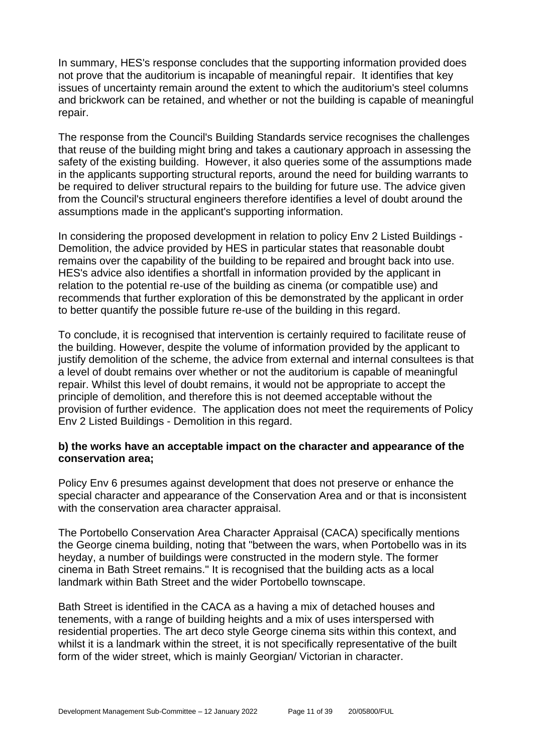In summary, HES's response concludes that the supporting information provided does not prove that the auditorium is incapable of meaningful repair. It identifies that key issues of uncertainty remain around the extent to which the auditorium's steel columns and brickwork can be retained, and whether or not the building is capable of meaningful repair.

The response from the Council's Building Standards service recognises the challenges that reuse of the building might bring and takes a cautionary approach in assessing the safety of the existing building. However, it also queries some of the assumptions made in the applicants supporting structural reports, around the need for building warrants to be required to deliver structural repairs to the building for future use. The advice given from the Council's structural engineers therefore identifies a level of doubt around the assumptions made in the applicant's supporting information.

In considering the proposed development in relation to policy Env 2 Listed Buildings - Demolition, the advice provided by HES in particular states that reasonable doubt remains over the capability of the building to be repaired and brought back into use. HES's advice also identifies a shortfall in information provided by the applicant in relation to the potential re-use of the building as cinema (or compatible use) and recommends that further exploration of this be demonstrated by the applicant in order to better quantify the possible future re-use of the building in this regard.

To conclude, it is recognised that intervention is certainly required to facilitate reuse of the building. However, despite the volume of information provided by the applicant to justify demolition of the scheme, the advice from external and internal consultees is that a level of doubt remains over whether or not the auditorium is capable of meaningful repair. Whilst this level of doubt remains, it would not be appropriate to accept the principle of demolition, and therefore this is not deemed acceptable without the provision of further evidence. The application does not meet the requirements of Policy Env 2 Listed Buildings - Demolition in this regard.

#### **b) the works have an acceptable impact on the character and appearance of the conservation area;**

Policy Env 6 presumes against development that does not preserve or enhance the special character and appearance of the Conservation Area and or that is inconsistent with the conservation area character appraisal.

The Portobello Conservation Area Character Appraisal (CACA) specifically mentions the George cinema building, noting that "between the wars, when Portobello was in its heyday, a number of buildings were constructed in the modern style. The former cinema in Bath Street remains." It is recognised that the building acts as a local landmark within Bath Street and the wider Portobello townscape.

Bath Street is identified in the CACA as a having a mix of detached houses and tenements, with a range of building heights and a mix of uses interspersed with residential properties. The art deco style George cinema sits within this context, and whilst it is a landmark within the street, it is not specifically representative of the built form of the wider street, which is mainly Georgian/ Victorian in character.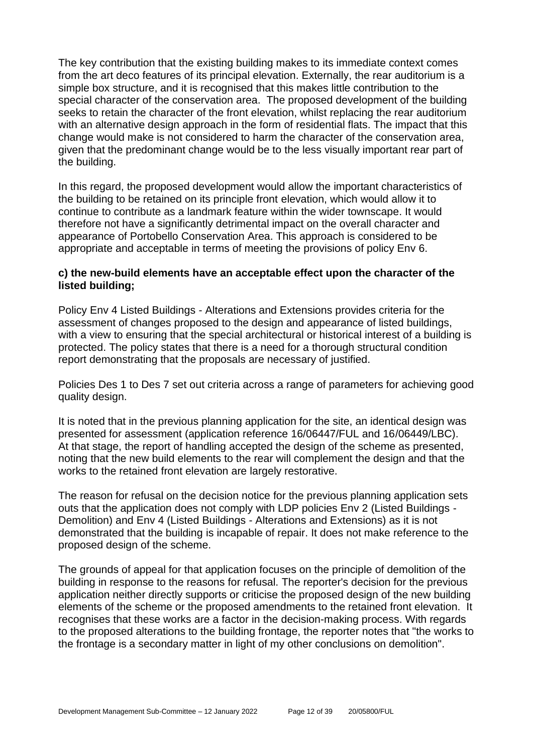The key contribution that the existing building makes to its immediate context comes from the art deco features of its principal elevation. Externally, the rear auditorium is a simple box structure, and it is recognised that this makes little contribution to the special character of the conservation area. The proposed development of the building seeks to retain the character of the front elevation, whilst replacing the rear auditorium with an alternative design approach in the form of residential flats. The impact that this change would make is not considered to harm the character of the conservation area, given that the predominant change would be to the less visually important rear part of the building.

In this regard, the proposed development would allow the important characteristics of the building to be retained on its principle front elevation, which would allow it to continue to contribute as a landmark feature within the wider townscape. It would therefore not have a significantly detrimental impact on the overall character and appearance of Portobello Conservation Area. This approach is considered to be appropriate and acceptable in terms of meeting the provisions of policy Env 6.

#### **c) the new-build elements have an acceptable effect upon the character of the listed building;**

Policy Env 4 Listed Buildings - Alterations and Extensions provides criteria for the assessment of changes proposed to the design and appearance of listed buildings, with a view to ensuring that the special architectural or historical interest of a building is protected. The policy states that there is a need for a thorough structural condition report demonstrating that the proposals are necessary of justified.

Policies Des 1 to Des 7 set out criteria across a range of parameters for achieving good quality design.

It is noted that in the previous planning application for the site, an identical design was presented for assessment (application reference 16/06447/FUL and 16/06449/LBC). At that stage, the report of handling accepted the design of the scheme as presented, noting that the new build elements to the rear will complement the design and that the works to the retained front elevation are largely restorative.

The reason for refusal on the decision notice for the previous planning application sets outs that the application does not comply with LDP policies Env 2 (Listed Buildings - Demolition) and Env 4 (Listed Buildings - Alterations and Extensions) as it is not demonstrated that the building is incapable of repair. It does not make reference to the proposed design of the scheme.

The grounds of appeal for that application focuses on the principle of demolition of the building in response to the reasons for refusal. The reporter's decision for the previous application neither directly supports or criticise the proposed design of the new building elements of the scheme or the proposed amendments to the retained front elevation. It recognises that these works are a factor in the decision-making process. With regards to the proposed alterations to the building frontage, the reporter notes that "the works to the frontage is a secondary matter in light of my other conclusions on demolition".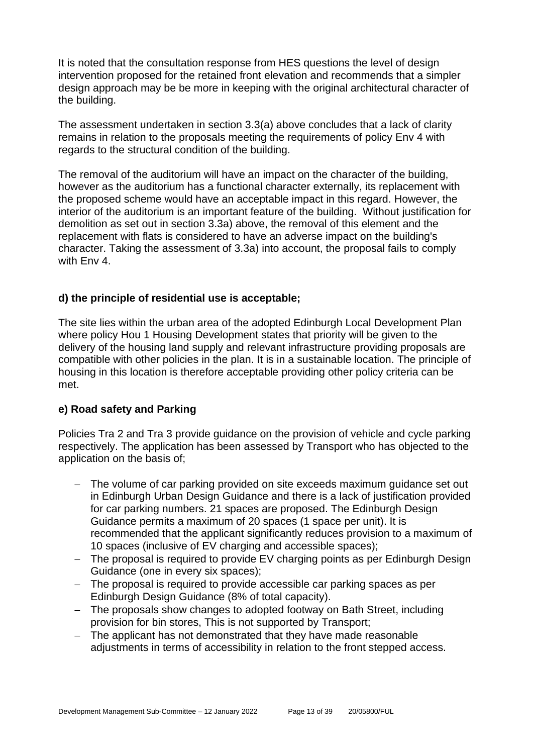It is noted that the consultation response from HES questions the level of design intervention proposed for the retained front elevation and recommends that a simpler design approach may be be more in keeping with the original architectural character of the building.

The assessment undertaken in section 3.3(a) above concludes that a lack of clarity remains in relation to the proposals meeting the requirements of policy Env 4 with regards to the structural condition of the building.

The removal of the auditorium will have an impact on the character of the building, however as the auditorium has a functional character externally, its replacement with the proposed scheme would have an acceptable impact in this regard. However, the interior of the auditorium is an important feature of the building. Without justification for demolition as set out in section 3.3a) above, the removal of this element and the replacement with flats is considered to have an adverse impact on the building's character. Taking the assessment of 3.3a) into account, the proposal fails to comply with Env 4.

#### **d) the principle of residential use is acceptable;**

The site lies within the urban area of the adopted Edinburgh Local Development Plan where policy Hou 1 Housing Development states that priority will be given to the delivery of the housing land supply and relevant infrastructure providing proposals are compatible with other policies in the plan. It is in a sustainable location. The principle of housing in this location is therefore acceptable providing other policy criteria can be met.

#### **e) Road safety and Parking**

Policies Tra 2 and Tra 3 provide guidance on the provision of vehicle and cycle parking respectively. The application has been assessed by Transport who has objected to the application on the basis of;

- − The volume of car parking provided on site exceeds maximum guidance set out in Edinburgh Urban Design Guidance and there is a lack of justification provided for car parking numbers. 21 spaces are proposed. The Edinburgh Design Guidance permits a maximum of 20 spaces (1 space per unit). It is recommended that the applicant significantly reduces provision to a maximum of 10 spaces (inclusive of EV charging and accessible spaces);
- − The proposal is required to provide EV charging points as per Edinburgh Design Guidance (one in every six spaces);
- − The proposal is required to provide accessible car parking spaces as per Edinburgh Design Guidance (8% of total capacity).
- − The proposals show changes to adopted footway on Bath Street, including provision for bin stores, This is not supported by Transport;
- − The applicant has not demonstrated that they have made reasonable adjustments in terms of accessibility in relation to the front stepped access.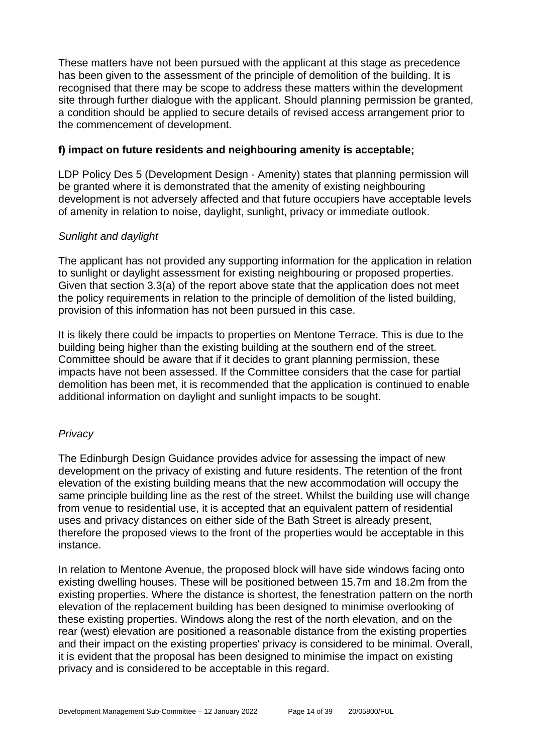These matters have not been pursued with the applicant at this stage as precedence has been given to the assessment of the principle of demolition of the building. It is recognised that there may be scope to address these matters within the development site through further dialogue with the applicant. Should planning permission be granted, a condition should be applied to secure details of revised access arrangement prior to the commencement of development.

#### **f) impact on future residents and neighbouring amenity is acceptable;**

LDP Policy Des 5 (Development Design - Amenity) states that planning permission will be granted where it is demonstrated that the amenity of existing neighbouring development is not adversely affected and that future occupiers have acceptable levels of amenity in relation to noise, daylight, sunlight, privacy or immediate outlook.

#### *Sunlight and daylight*

The applicant has not provided any supporting information for the application in relation to sunlight or daylight assessment for existing neighbouring or proposed properties. Given that section 3.3(a) of the report above state that the application does not meet the policy requirements in relation to the principle of demolition of the listed building, provision of this information has not been pursued in this case.

It is likely there could be impacts to properties on Mentone Terrace. This is due to the building being higher than the existing building at the southern end of the street. Committee should be aware that if it decides to grant planning permission, these impacts have not been assessed. If the Committee considers that the case for partial demolition has been met, it is recommended that the application is continued to enable additional information on daylight and sunlight impacts to be sought.

#### *Privacy*

The Edinburgh Design Guidance provides advice for assessing the impact of new development on the privacy of existing and future residents. The retention of the front elevation of the existing building means that the new accommodation will occupy the same principle building line as the rest of the street. Whilst the building use will change from venue to residential use, it is accepted that an equivalent pattern of residential uses and privacy distances on either side of the Bath Street is already present, therefore the proposed views to the front of the properties would be acceptable in this instance.

In relation to Mentone Avenue, the proposed block will have side windows facing onto existing dwelling houses. These will be positioned between 15.7m and 18.2m from the existing properties. Where the distance is shortest, the fenestration pattern on the north elevation of the replacement building has been designed to minimise overlooking of these existing properties. Windows along the rest of the north elevation, and on the rear (west) elevation are positioned a reasonable distance from the existing properties and their impact on the existing properties' privacy is considered to be minimal. Overall, it is evident that the proposal has been designed to minimise the impact on existing privacy and is considered to be acceptable in this regard.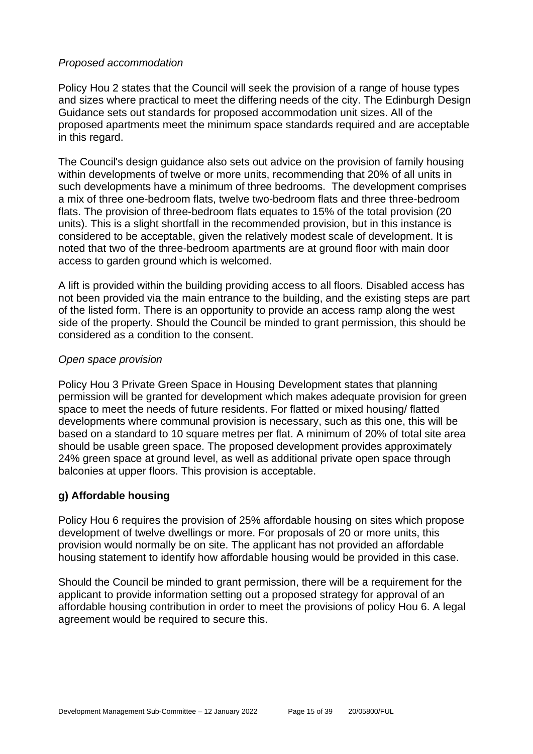#### *Proposed accommodation*

Policy Hou 2 states that the Council will seek the provision of a range of house types and sizes where practical to meet the differing needs of the city. The Edinburgh Design Guidance sets out standards for proposed accommodation unit sizes. All of the proposed apartments meet the minimum space standards required and are acceptable in this regard.

The Council's design guidance also sets out advice on the provision of family housing within developments of twelve or more units, recommending that 20% of all units in such developments have a minimum of three bedrooms. The development comprises a mix of three one-bedroom flats, twelve two-bedroom flats and three three-bedroom flats. The provision of three-bedroom flats equates to 15% of the total provision (20 units). This is a slight shortfall in the recommended provision, but in this instance is considered to be acceptable, given the relatively modest scale of development. It is noted that two of the three-bedroom apartments are at ground floor with main door access to garden ground which is welcomed.

A lift is provided within the building providing access to all floors. Disabled access has not been provided via the main entrance to the building, and the existing steps are part of the listed form. There is an opportunity to provide an access ramp along the west side of the property. Should the Council be minded to grant permission, this should be considered as a condition to the consent.

#### *Open space provision*

Policy Hou 3 Private Green Space in Housing Development states that planning permission will be granted for development which makes adequate provision for green space to meet the needs of future residents. For flatted or mixed housing/ flatted developments where communal provision is necessary, such as this one, this will be based on a standard to 10 square metres per flat. A minimum of 20% of total site area should be usable green space. The proposed development provides approximately 24% green space at ground level, as well as additional private open space through balconies at upper floors. This provision is acceptable.

#### **g) Affordable housing**

Policy Hou 6 requires the provision of 25% affordable housing on sites which propose development of twelve dwellings or more. For proposals of 20 or more units, this provision would normally be on site. The applicant has not provided an affordable housing statement to identify how affordable housing would be provided in this case.

Should the Council be minded to grant permission, there will be a requirement for the applicant to provide information setting out a proposed strategy for approval of an affordable housing contribution in order to meet the provisions of policy Hou 6. A legal agreement would be required to secure this.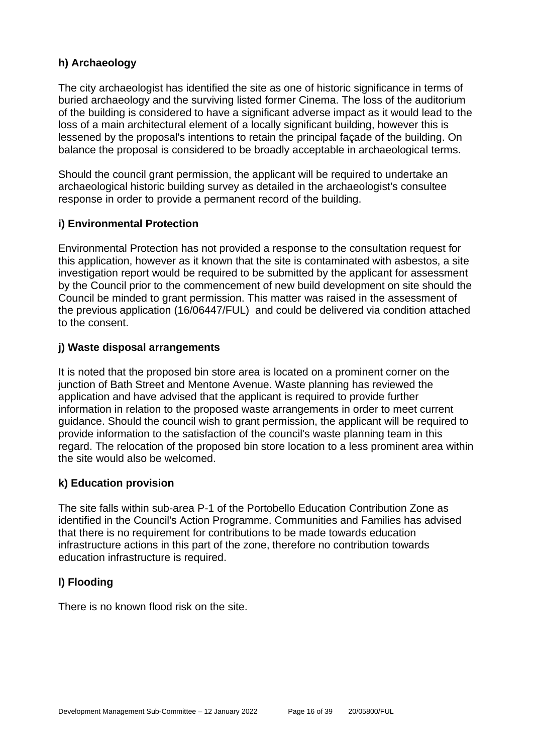#### **h) Archaeology**

The city archaeologist has identified the site as one of historic significance in terms of buried archaeology and the surviving listed former Cinema. The loss of the auditorium of the building is considered to have a significant adverse impact as it would lead to the loss of a main architectural element of a locally significant building, however this is lessened by the proposal's intentions to retain the principal façade of the building. On balance the proposal is considered to be broadly acceptable in archaeological terms.

Should the council grant permission, the applicant will be required to undertake an archaeological historic building survey as detailed in the archaeologist's consultee response in order to provide a permanent record of the building.

#### **i) Environmental Protection**

Environmental Protection has not provided a response to the consultation request for this application, however as it known that the site is contaminated with asbestos, a site investigation report would be required to be submitted by the applicant for assessment by the Council prior to the commencement of new build development on site should the Council be minded to grant permission. This matter was raised in the assessment of the previous application (16/06447/FUL) and could be delivered via condition attached to the consent.

#### **j) Waste disposal arrangements**

It is noted that the proposed bin store area is located on a prominent corner on the junction of Bath Street and Mentone Avenue. Waste planning has reviewed the application and have advised that the applicant is required to provide further information in relation to the proposed waste arrangements in order to meet current guidance. Should the council wish to grant permission, the applicant will be required to provide information to the satisfaction of the council's waste planning team in this regard. The relocation of the proposed bin store location to a less prominent area within the site would also be welcomed.

#### **k) Education provision**

The site falls within sub-area P-1 of the Portobello Education Contribution Zone as identified in the Council's Action Programme. Communities and Families has advised that there is no requirement for contributions to be made towards education infrastructure actions in this part of the zone, therefore no contribution towards education infrastructure is required.

#### **l) Flooding**

There is no known flood risk on the site.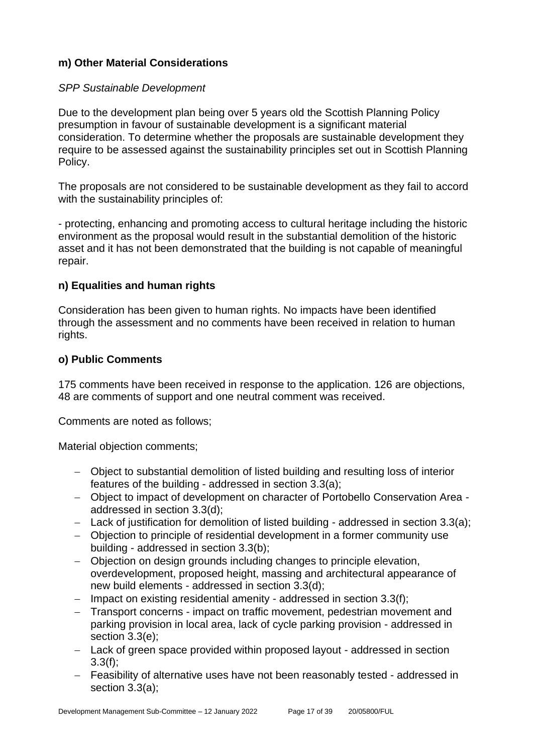#### **m) Other Material Considerations**

#### *SPP Sustainable Development*

Due to the development plan being over 5 years old the Scottish Planning Policy presumption in favour of sustainable development is a significant material consideration. To determine whether the proposals are sustainable development they require to be assessed against the sustainability principles set out in Scottish Planning Policy.

The proposals are not considered to be sustainable development as they fail to accord with the sustainability principles of:

- protecting, enhancing and promoting access to cultural heritage including the historic environment as the proposal would result in the substantial demolition of the historic asset and it has not been demonstrated that the building is not capable of meaningful repair.

#### **n) Equalities and human rights**

Consideration has been given to human rights. No impacts have been identified through the assessment and no comments have been received in relation to human rights.

#### **o) Public Comments**

175 comments have been received in response to the application. 126 are objections, 48 are comments of support and one neutral comment was received.

Comments are noted as follows;

Material objection comments;

- − Object to substantial demolition of listed building and resulting loss of interior features of the building - addressed in section 3.3(a);
- − Object to impact of development on character of Portobello Conservation Area addressed in section 3.3(d);
- − Lack of justification for demolition of listed building addressed in section 3.3(a);
- − Objection to principle of residential development in a former community use building - addressed in section 3.3(b);
- − Objection on design grounds including changes to principle elevation, overdevelopment, proposed height, massing and architectural appearance of new build elements - addressed in section 3.3(d);
- − Impact on existing residential amenity addressed in section 3.3(f);
- − Transport concerns impact on traffic movement, pedestrian movement and parking provision in local area, lack of cycle parking provision - addressed in section 3.3(e);
- − Lack of green space provided within proposed layout addressed in section 3.3(f);
- − Feasibility of alternative uses have not been reasonably tested addressed in section 3.3(a);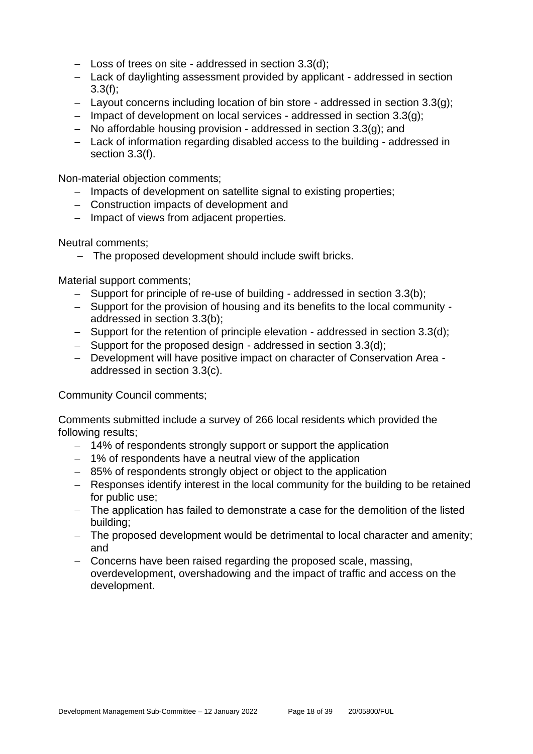- − Loss of trees on site addressed in section 3.3(d);
- − Lack of daylighting assessment provided by applicant addressed in section 3.3(f);
- − Layout concerns including location of bin store addressed in section 3.3(g);
- − Impact of development on local services addressed in section 3.3(g);
- − No affordable housing provision addressed in section 3.3(g); and
- − Lack of information regarding disabled access to the building addressed in section 3.3(f).

Non-material objection comments;

- − Impacts of development on satellite signal to existing properties;
- − Construction impacts of development and
- − Impact of views from adjacent properties.

Neutral comments;

− The proposed development should include swift bricks.

Material support comments;

- − Support for principle of re-use of building addressed in section 3.3(b);
- − Support for the provision of housing and its benefits to the local community addressed in section 3.3(b);
- − Support for the retention of principle elevation addressed in section 3.3(d);
- − Support for the proposed design addressed in section 3.3(d);
- − Development will have positive impact on character of Conservation Area addressed in section 3.3(c).

Community Council comments;

Comments submitted include a survey of 266 local residents which provided the following results;

- − 14% of respondents strongly support or support the application
- − 1% of respondents have a neutral view of the application
- − 85% of respondents strongly object or object to the application
- − Responses identify interest in the local community for the building to be retained for public use;
- − The application has failed to demonstrate a case for the demolition of the listed building;
- − The proposed development would be detrimental to local character and amenity; and
- − Concerns have been raised regarding the proposed scale, massing, overdevelopment, overshadowing and the impact of traffic and access on the development.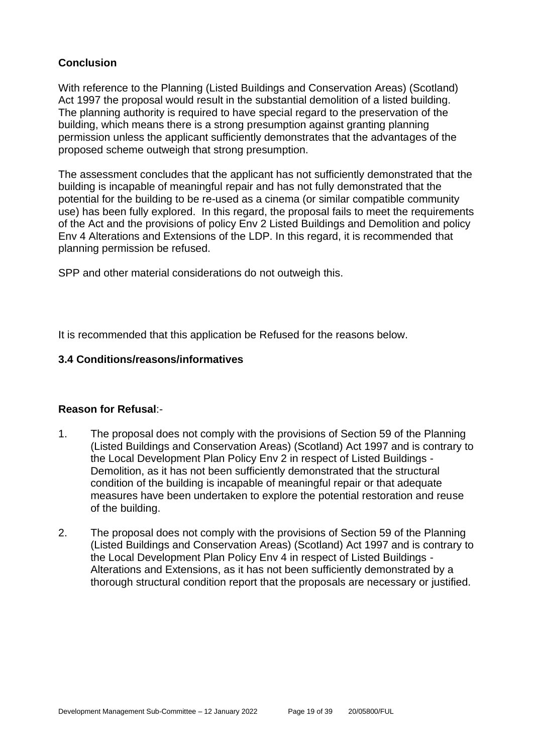#### **Conclusion**

With reference to the Planning (Listed Buildings and Conservation Areas) (Scotland) Act 1997 the proposal would result in the substantial demolition of a listed building. The planning authority is required to have special regard to the preservation of the building, which means there is a strong presumption against granting planning permission unless the applicant sufficiently demonstrates that the advantages of the proposed scheme outweigh that strong presumption.

The assessment concludes that the applicant has not sufficiently demonstrated that the building is incapable of meaningful repair and has not fully demonstrated that the potential for the building to be re-used as a cinema (or similar compatible community use) has been fully explored. In this regard, the proposal fails to meet the requirements of the Act and the provisions of policy Env 2 Listed Buildings and Demolition and policy Env 4 Alterations and Extensions of the LDP. In this regard, it is recommended that planning permission be refused.

SPP and other material considerations do not outweigh this.

It is recommended that this application be Refused for the reasons below.

#### **3.4 Conditions/reasons/informatives**

#### **Reason for Refusal**:-

- 1. The proposal does not comply with the provisions of Section 59 of the Planning (Listed Buildings and Conservation Areas) (Scotland) Act 1997 and is contrary to the Local Development Plan Policy Env 2 in respect of Listed Buildings - Demolition, as it has not been sufficiently demonstrated that the structural condition of the building is incapable of meaningful repair or that adequate measures have been undertaken to explore the potential restoration and reuse of the building.
- 2. The proposal does not comply with the provisions of Section 59 of the Planning (Listed Buildings and Conservation Areas) (Scotland) Act 1997 and is contrary to the Local Development Plan Policy Env 4 in respect of Listed Buildings - Alterations and Extensions, as it has not been sufficiently demonstrated by a thorough structural condition report that the proposals are necessary or justified.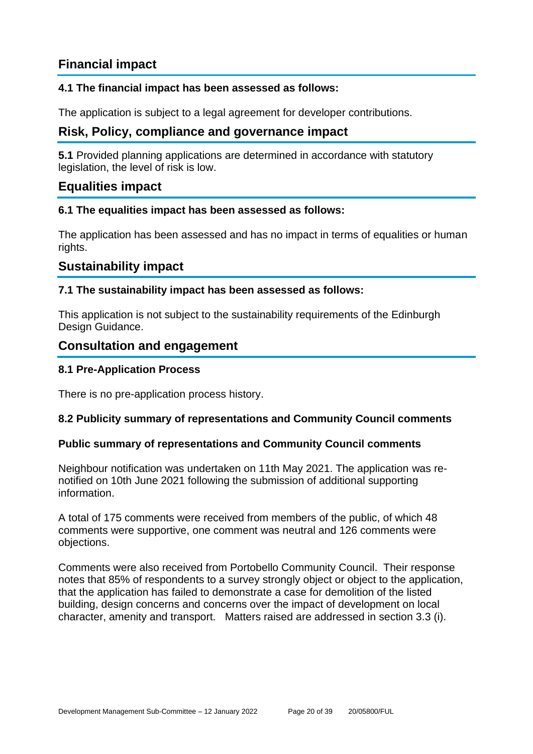## **Financial impact**

#### **4.1 The financial impact has been assessed as follows:**

The application is subject to a legal agreement for developer contributions.

## **Risk, Policy, compliance and governance impact**

**5.1** Provided planning applications are determined in accordance with statutory legislation, the level of risk is low.

#### **Equalities impact**

#### **6.1 The equalities impact has been assessed as follows:**

The application has been assessed and has no impact in terms of equalities or human rights.

#### **Sustainability impact**

#### **7.1 The sustainability impact has been assessed as follows:**

This application is not subject to the sustainability requirements of the Edinburgh Design Guidance.

#### **Consultation and engagement**

#### **8.1 Pre-Application Process**

There is no pre-application process history.

#### **8.2 Publicity summary of representations and Community Council comments**

#### **Public summary of representations and Community Council comments**

Neighbour notification was undertaken on 11th May 2021. The application was renotified on 10th June 2021 following the submission of additional supporting information.

A total of 175 comments were received from members of the public, of which 48 comments were supportive, one comment was neutral and 126 comments were objections.

Comments were also received from Portobello Community Council. Their response notes that 85% of respondents to a survey strongly object or object to the application, that the application has failed to demonstrate a case for demolition of the listed building, design concerns and concerns over the impact of development on local character, amenity and transport. Matters raised are addressed in section 3.3 (i).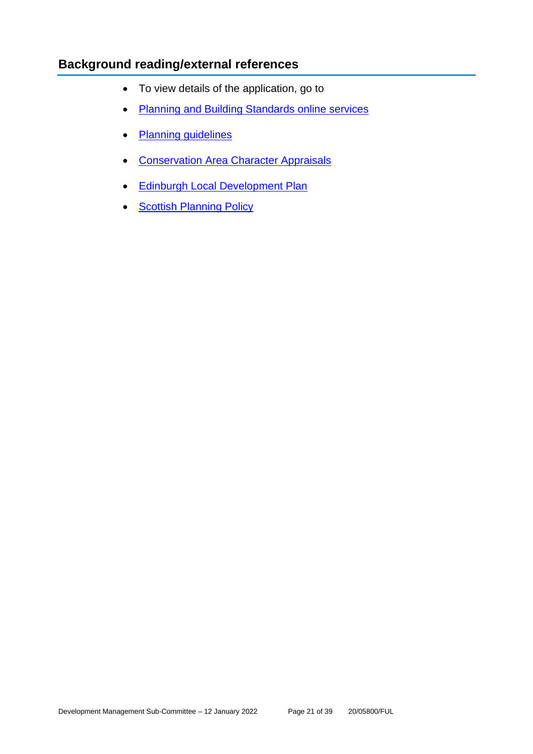## **Background reading/external references**

- To view details of the application, go to
- [Planning and Building Standards online services](https://citydev-portal.edinburgh.gov.uk/idoxpa-web/search.do?action=simple&searchType=Application)
- [Planning guidelines](http://www.edinburgh.gov.uk/planningguidelines)
- [Conservation Area Character Appraisals](http://www.edinburgh.gov.uk/characterappraisals)
- [Edinburgh Local Development Plan](http://www.edinburgh.gov.uk/localdevelopmentplan)
- **[Scottish Planning Policy](http://www.scotland.gov.uk/Topics/Built-Environment/planning/Policy)**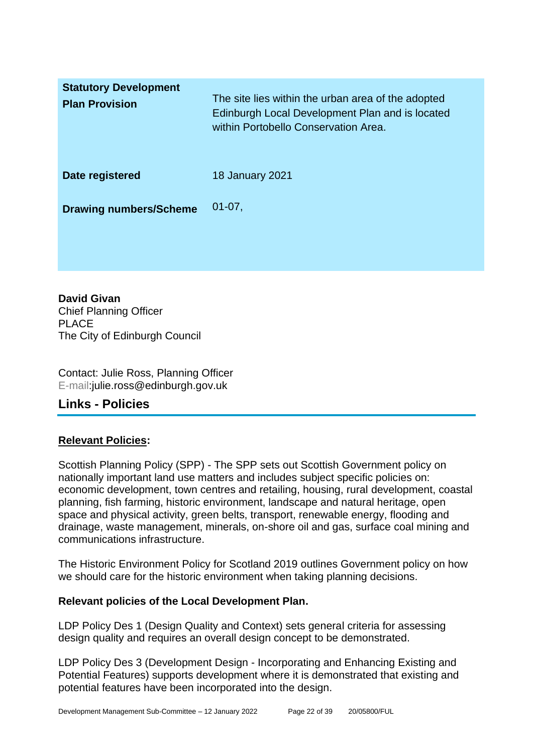| <b>Statutory Development</b><br><b>Plan Provision</b> | The site lies within the urban area of the adopted<br>Edinburgh Local Development Plan and is located<br>within Portobello Conservation Area. |
|-------------------------------------------------------|-----------------------------------------------------------------------------------------------------------------------------------------------|
| Date registered                                       | <b>18 January 2021</b>                                                                                                                        |
| <b>Drawing numbers/Scheme</b>                         | $01-07,$                                                                                                                                      |

**David Givan** Chief Planning Officer PLACE The City of Edinburgh Council

Contact: Julie Ross, Planning Officer E-mail:julie.ross@edinburgh.gov.uk

## **Links - Policies**

#### **Relevant Policies:**

Scottish Planning Policy (SPP) - The SPP sets out Scottish Government policy on nationally important land use matters and includes subject specific policies on: economic development, town centres and retailing, housing, rural development, coastal planning, fish farming, historic environment, landscape and natural heritage, open space and physical activity, green belts, transport, renewable energy, flooding and drainage, waste management, minerals, on-shore oil and gas, surface coal mining and communications infrastructure.

The Historic Environment Policy for Scotland 2019 outlines Government policy on how we should care for the historic environment when taking planning decisions.

#### **Relevant policies of the Local Development Plan.**

LDP Policy Des 1 (Design Quality and Context) sets general criteria for assessing design quality and requires an overall design concept to be demonstrated.

LDP Policy Des 3 (Development Design - Incorporating and Enhancing Existing and Potential Features) supports development where it is demonstrated that existing and potential features have been incorporated into the design.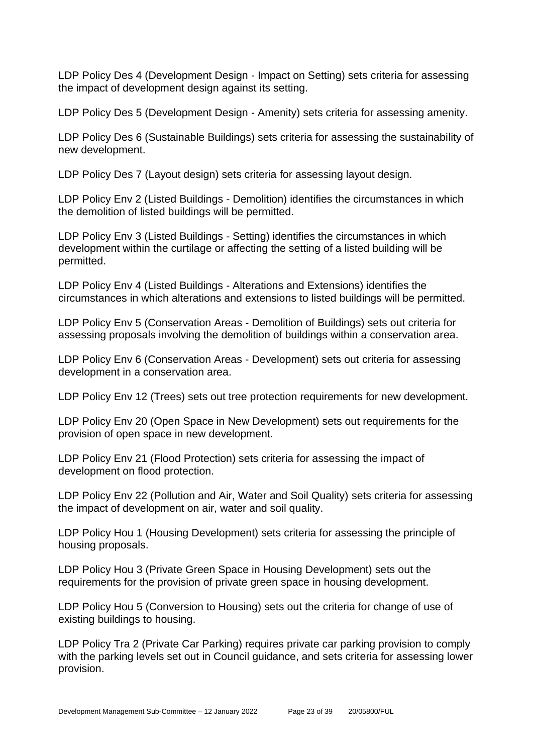LDP Policy Des 4 (Development Design - Impact on Setting) sets criteria for assessing the impact of development design against its setting.

LDP Policy Des 5 (Development Design - Amenity) sets criteria for assessing amenity.

LDP Policy Des 6 (Sustainable Buildings) sets criteria for assessing the sustainability of new development.

LDP Policy Des 7 (Layout design) sets criteria for assessing layout design.

LDP Policy Env 2 (Listed Buildings - Demolition) identifies the circumstances in which the demolition of listed buildings will be permitted.

LDP Policy Env 3 (Listed Buildings - Setting) identifies the circumstances in which development within the curtilage or affecting the setting of a listed building will be permitted.

LDP Policy Env 4 (Listed Buildings - Alterations and Extensions) identifies the circumstances in which alterations and extensions to listed buildings will be permitted.

LDP Policy Env 5 (Conservation Areas - Demolition of Buildings) sets out criteria for assessing proposals involving the demolition of buildings within a conservation area.

LDP Policy Env 6 (Conservation Areas - Development) sets out criteria for assessing development in a conservation area.

LDP Policy Env 12 (Trees) sets out tree protection requirements for new development.

LDP Policy Env 20 (Open Space in New Development) sets out requirements for the provision of open space in new development.

LDP Policy Env 21 (Flood Protection) sets criteria for assessing the impact of development on flood protection.

LDP Policy Env 22 (Pollution and Air, Water and Soil Quality) sets criteria for assessing the impact of development on air, water and soil quality.

LDP Policy Hou 1 (Housing Development) sets criteria for assessing the principle of housing proposals.

LDP Policy Hou 3 (Private Green Space in Housing Development) sets out the requirements for the provision of private green space in housing development.

LDP Policy Hou 5 (Conversion to Housing) sets out the criteria for change of use of existing buildings to housing.

LDP Policy Tra 2 (Private Car Parking) requires private car parking provision to comply with the parking levels set out in Council guidance, and sets criteria for assessing lower provision.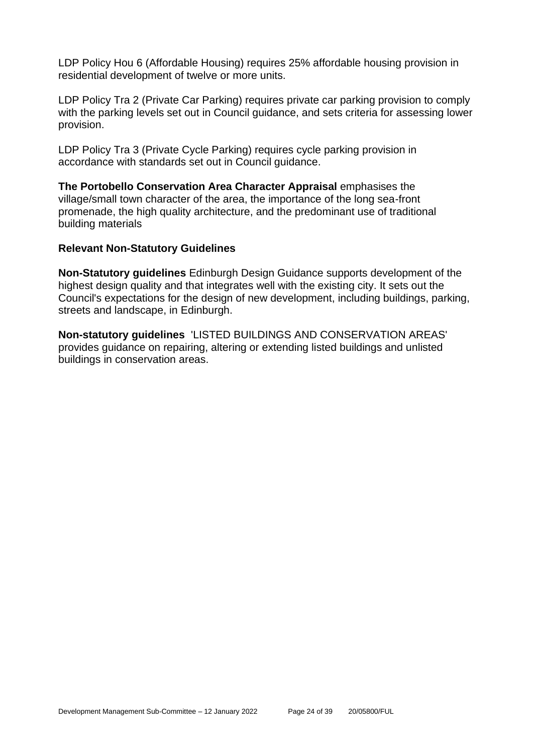LDP Policy Hou 6 (Affordable Housing) requires 25% affordable housing provision in residential development of twelve or more units.

LDP Policy Tra 2 (Private Car Parking) requires private car parking provision to comply with the parking levels set out in Council guidance, and sets criteria for assessing lower provision.

LDP Policy Tra 3 (Private Cycle Parking) requires cycle parking provision in accordance with standards set out in Council guidance.

**The Portobello Conservation Area Character Appraisal** emphasises the village/small town character of the area, the importance of the long sea-front promenade, the high quality architecture, and the predominant use of traditional building materials

#### **Relevant Non-Statutory Guidelines**

**Non-Statutory guidelines** Edinburgh Design Guidance supports development of the highest design quality and that integrates well with the existing city. It sets out the Council's expectations for the design of new development, including buildings, parking, streets and landscape, in Edinburgh.

**Non-statutory guidelines** 'LISTED BUILDINGS AND CONSERVATION AREAS' provides guidance on repairing, altering or extending listed buildings and unlisted buildings in conservation areas.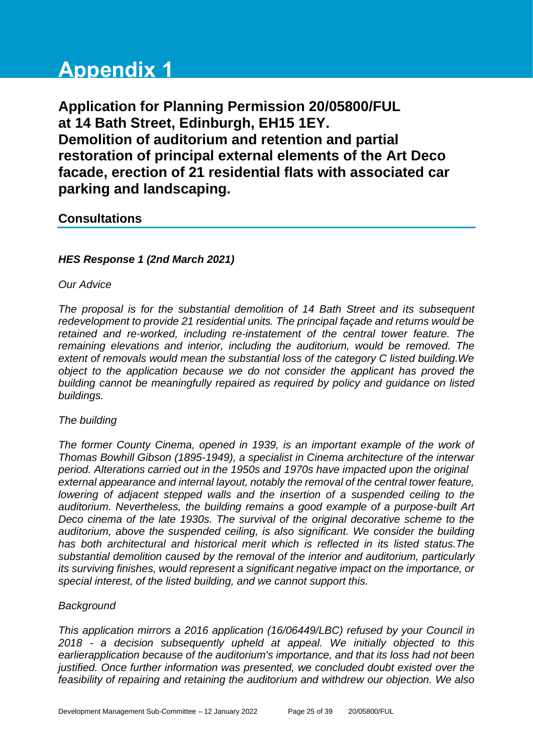# **Appendix 1**

**Application for Planning Permission 20/05800/FUL at 14 Bath Street, Edinburgh, EH15 1EY. Demolition of auditorium and retention and partial restoration of principal external elements of the Art Deco facade, erection of 21 residential flats with associated car parking and landscaping.**

## **Consultations**

#### *HES Response 1 (2nd March 2021)*

#### *Our Advice*

*The proposal is for the substantial demolition of 14 Bath Street and its subsequent redevelopment to provide 21 residential units. The principal façade and returns would be retained and re-worked, including re-instatement of the central tower feature. The remaining elevations and interior, including the auditorium, would be removed. The extent of removals would mean the substantial loss of the category C listed building.We object to the application because we do not consider the applicant has proved the building cannot be meaningfully repaired as required by policy and guidance on listed buildings.*

#### *The building*

*The former County Cinema, opened in 1939, is an important example of the work of Thomas Bowhill Gibson (1895-1949), a specialist in Cinema architecture of the interwar period. Alterations carried out in the 1950s and 1970s have impacted upon the original external appearance and internal layout, notably the removal of the central tower feature, lowering of adjacent stepped walls and the insertion of a suspended ceiling to the auditorium. Nevertheless, the building remains a good example of a purpose-built Art Deco cinema of the late 1930s. The survival of the original decorative scheme to the auditorium, above the suspended ceiling, is also significant. We consider the building has both architectural and historical merit which is reflected in its listed status.The substantial demolition caused by the removal of the interior and auditorium, particularly its surviving finishes, would represent a significant negative impact on the importance, or special interest, of the listed building, and we cannot support this.*

#### *Background*

*This application mirrors a 2016 application (16/06449/LBC) refused by your Council in 2018 - a decision subsequently upheld at appeal. We initially objected to this earlierapplication because of the auditorium's importance, and that its loss had not been justified. Once further information was presented, we concluded doubt existed over the feasibility of repairing and retaining the auditorium and withdrew our objection. We also*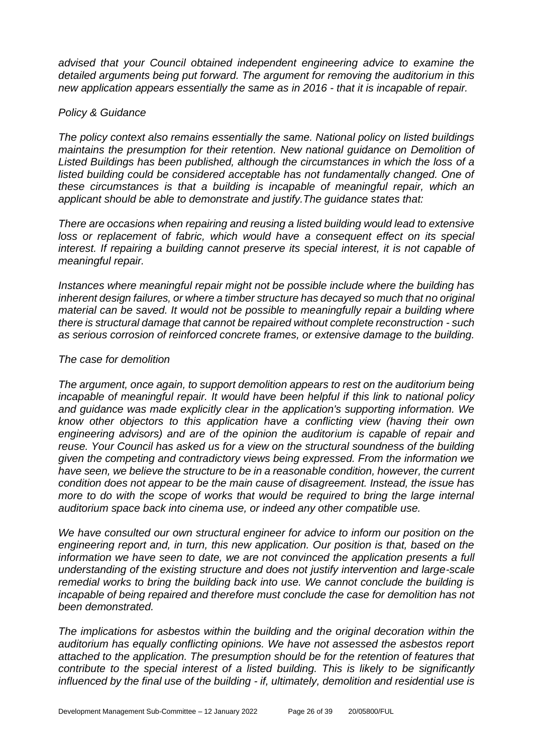*advised that your Council obtained independent engineering advice to examine the detailed arguments being put forward. The argument for removing the auditorium in this new application appears essentially the same as in 2016 - that it is incapable of repair.*

#### *Policy & Guidance*

*The policy context also remains essentially the same. National policy on listed buildings maintains the presumption for their retention. New national guidance on Demolition of Listed Buildings has been published, although the circumstances in which the loss of a*  listed building could be considered acceptable has not fundamentally changed. One of *these circumstances is that a building is incapable of meaningful repair, which an applicant should be able to demonstrate and justify.The guidance states that:*

*There are occasions when repairing and reusing a listed building would lead to extensive*  loss or replacement of fabric, which would have a consequent effect on its special *interest. If repairing a building cannot preserve its special interest, it is not capable of meaningful repair.*

*Instances where meaningful repair might not be possible include where the building has inherent design failures, or where a timber structure has decayed so much that no original material can be saved. It would not be possible to meaningfully repair a building where there is structural damage that cannot be repaired without complete reconstruction - such as serious corrosion of reinforced concrete frames, or extensive damage to the building.*

#### *The case for demolition*

*The argument, once again, to support demolition appears to rest on the auditorium being incapable of meaningful repair. It would have been helpful if this link to national policy and guidance was made explicitly clear in the application's supporting information. We know other objectors to this application have a conflicting view (having their own engineering advisors) and are of the opinion the auditorium is capable of repair and reuse. Your Council has asked us for a view on the structural soundness of the building given the competing and contradictory views being expressed. From the information we have seen, we believe the structure to be in a reasonable condition, however, the current condition does not appear to be the main cause of disagreement. Instead, the issue has more to do with the scope of works that would be required to bring the large internal auditorium space back into cinema use, or indeed any other compatible use.*

*We have consulted our own structural engineer for advice to inform our position on the engineering report and, in turn, this new application. Our position is that, based on the*  information we have seen to date, we are not convinced the application presents a full *understanding of the existing structure and does not justify intervention and large-scale remedial works to bring the building back into use. We cannot conclude the building is incapable of being repaired and therefore must conclude the case for demolition has not been demonstrated.*

*The implications for asbestos within the building and the original decoration within the auditorium has equally conflicting opinions. We have not assessed the asbestos report attached to the application. The presumption should be for the retention of features that contribute to the special interest of a listed building. This is likely to be significantly influenced by the final use of the building - if, ultimately, demolition and residential use is*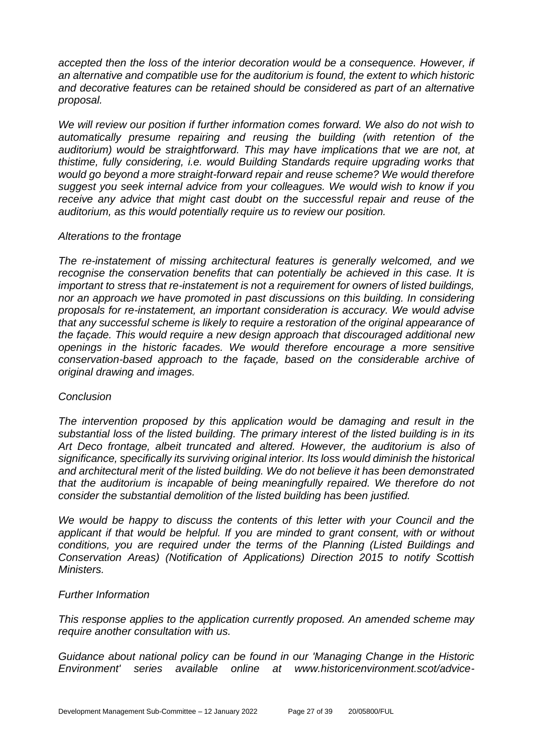accepted then the loss of the interior decoration would be a consequence. However, if *an alternative and compatible use for the auditorium is found, the extent to which historic and decorative features can be retained should be considered as part of an alternative proposal.*

*We will review our position if further information comes forward. We also do not wish to automatically presume repairing and reusing the building (with retention of the auditorium) would be straightforward. This may have implications that we are not, at thistime, fully considering, i.e. would Building Standards require upgrading works that would go beyond a more straight-forward repair and reuse scheme? We would therefore suggest you seek internal advice from your colleagues. We would wish to know if you receive any advice that might cast doubt on the successful repair and reuse of the auditorium, as this would potentially require us to review our position.*

#### *Alterations to the frontage*

*The re-instatement of missing architectural features is generally welcomed, and we recognise the conservation benefits that can potentially be achieved in this case. It is important to stress that re-instatement is not a requirement for owners of listed buildings, nor an approach we have promoted in past discussions on this building. In considering proposals for re-instatement, an important consideration is accuracy. We would advise that any successful scheme is likely to require a restoration of the original appearance of the façade. This would require a new design approach that discouraged additional new openings in the historic facades. We would therefore encourage a more sensitive conservation-based approach to the façade, based on the considerable archive of original drawing and images.*

#### *Conclusion*

*The intervention proposed by this application would be damaging and result in the substantial loss of the listed building. The primary interest of the listed building is in its Art Deco frontage, albeit truncated and altered. However, the auditorium is also of significance, specifically its surviving original interior. Its loss would diminish the historical and architectural merit of the listed building. We do not believe it has been demonstrated that the auditorium is incapable of being meaningfully repaired. We therefore do not consider the substantial demolition of the listed building has been justified.*

*We would be happy to discuss the contents of this letter with your Council and the applicant if that would be helpful. If you are minded to grant consent, with or without conditions, you are required under the terms of the Planning (Listed Buildings and Conservation Areas) (Notification of Applications) Direction 2015 to notify Scottish Ministers.*

#### *Further Information*

*This response applies to the application currently proposed. An amended scheme may require another consultation with us.*

*Guidance about national policy can be found in our 'Managing Change in the Historic Environment' series available online at www.historicenvironment.scot/advice-*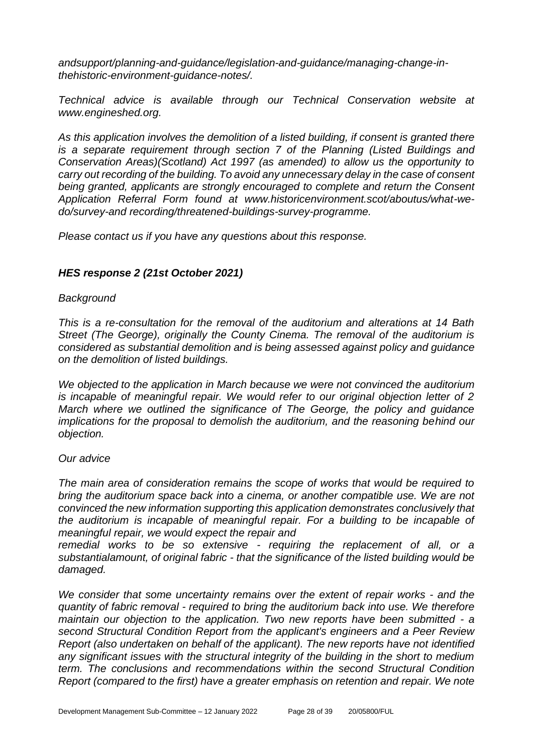*andsupport/planning-and-guidance/legislation-and-guidance/managing-change-inthehistoric-environment-guidance-notes/.*

*Technical advice is available through our Technical Conservation website at www.engineshed.org.*

*As this application involves the demolition of a listed building, if consent is granted there is a separate requirement through section 7 of the Planning (Listed Buildings and Conservation Areas)(Scotland) Act 1997 (as amended) to allow us the opportunity to carry out recording of the building. To avoid any unnecessary delay in the case of consent*  being granted, applicants are strongly encouraged to complete and return the Consent *Application Referral Form found at www.historicenvironment.scot/aboutus/what-wedo/survey-and recording/threatened-buildings-survey-programme.*

*Please contact us if you have any questions about this response.* 

#### *HES response 2 (21st October 2021)*

#### *Background*

*This is a re-consultation for the removal of the auditorium and alterations at 14 Bath Street (The George), originally the County Cinema. The removal of the auditorium is considered as substantial demolition and is being assessed against policy and guidance on the demolition of listed buildings.*

*We objected to the application in March because we were not convinced the auditorium is incapable of meaningful repair. We would refer to our original objection letter of 2 March where we outlined the significance of The George, the policy and guidance implications for the proposal to demolish the auditorium, and the reasoning behind our objection.*

#### *Our advice*

*The main area of consideration remains the scope of works that would be required to bring the auditorium space back into a cinema, or another compatible use. We are not convinced the new information supporting this application demonstrates conclusively that the auditorium is incapable of meaningful repair. For a building to be incapable of meaningful repair, we would expect the repair and* 

*remedial works to be so extensive - requiring the replacement of all, or a substantialamount, of original fabric - that the significance of the listed building would be damaged.*

*We consider that some uncertainty remains over the extent of repair works - and the quantity of fabric removal - required to bring the auditorium back into use. We therefore maintain our objection to the application. Two new reports have been submitted - a second Structural Condition Report from the applicant's engineers and a Peer Review Report (also undertaken on behalf of the applicant). The new reports have not identified any significant issues with the structural integrity of the building in the short to medium term. The conclusions and recommendations within the second Structural Condition Report (compared to the first) have a greater emphasis on retention and repair. We note*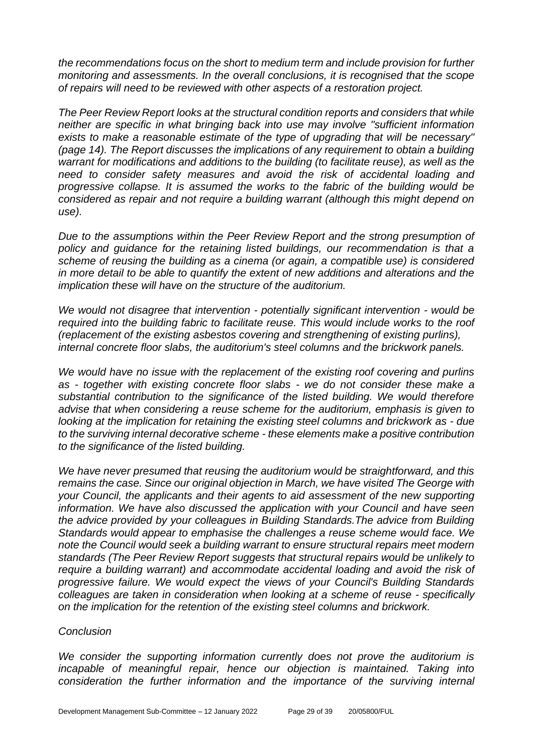*the recommendations focus on the short to medium term and include provision for further monitoring and assessments. In the overall conclusions, it is recognised that the scope of repairs will need to be reviewed with other aspects of a restoration project.*

*The Peer Review Report looks at the structural condition reports and considers that while neither are specific in what bringing back into use may involve ''sufficient information exists to make a reasonable estimate of the type of upgrading that will be necessary'' (page 14). The Report discusses the implications of any requirement to obtain a building warrant for modifications and additions to the building (to facilitate reuse), as well as the need to consider safety measures and avoid the risk of accidental loading and progressive collapse. It is assumed the works to the fabric of the building would be considered as repair and not require a building warrant (although this might depend on use).*

*Due to the assumptions within the Peer Review Report and the strong presumption of policy and guidance for the retaining listed buildings, our recommendation is that a scheme of reusing the building as a cinema (or again, a compatible use) is considered in more detail to be able to quantify the extent of new additions and alterations and the implication these will have on the structure of the auditorium.*

*We would not disagree that intervention - potentially significant intervention - would be required into the building fabric to facilitate reuse. This would include works to the roof (replacement of the existing asbestos covering and strengthening of existing purlins), internal concrete floor slabs, the auditorium's steel columns and the brickwork panels.* 

*We would have no issue with the replacement of the existing roof covering and purlins as - together with existing concrete floor slabs - we do not consider these make a substantial contribution to the significance of the listed building. We would therefore advise that when considering a reuse scheme for the auditorium, emphasis is given to looking at the implication for retaining the existing steel columns and brickwork as - due to the surviving internal decorative scheme - these elements make a positive contribution to the significance of the listed building.*

*We have never presumed that reusing the auditorium would be straightforward, and this remains the case. Since our original objection in March, we have visited The George with your Council, the applicants and their agents to aid assessment of the new supporting information. We have also discussed the application with your Council and have seen the advice provided by your colleagues in Building Standards.The advice from Building Standards would appear to emphasise the challenges a reuse scheme would face. We note the Council would seek a building warrant to ensure structural repairs meet modern standards (The Peer Review Report suggests that structural repairs would be unlikely to require a building warrant) and accommodate accidental loading and avoid the risk of progressive failure. We would expect the views of your Council's Building Standards colleagues are taken in consideration when looking at a scheme of reuse - specifically on the implication for the retention of the existing steel columns and brickwork.*

#### *Conclusion*

*We consider the supporting information currently does not prove the auditorium is incapable of meaningful repair, hence our objection is maintained. Taking into consideration the further information and the importance of the surviving internal*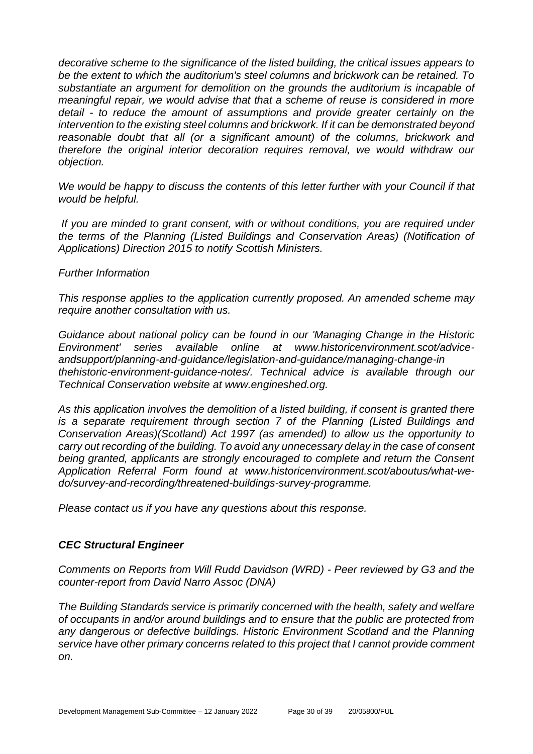*decorative scheme to the significance of the listed building, the critical issues appears to be the extent to which the auditorium's steel columns and brickwork can be retained. To substantiate an argument for demolition on the grounds the auditorium is incapable of meaningful repair, we would advise that that a scheme of reuse is considered in more detail - to reduce the amount of assumptions and provide greater certainly on the intervention to the existing steel columns and brickwork. If it can be demonstrated beyond reasonable doubt that all (or a significant amount) of the columns, brickwork and therefore the original interior decoration requires removal, we would withdraw our objection.*

*We would be happy to discuss the contents of this letter further with your Council if that would be helpful.*

*If you are minded to grant consent, with or without conditions, you are required under the terms of the Planning (Listed Buildings and Conservation Areas) (Notification of Applications) Direction 2015 to notify Scottish Ministers.*

*Further Information*

*This response applies to the application currently proposed. An amended scheme may require another consultation with us.*

*Guidance about national policy can be found in our 'Managing Change in the Historic Environment' series available online at www.historicenvironment.scot/adviceandsupport/planning-and-guidance/legislation-and-guidance/managing-change-in thehistoric-environment-guidance-notes/. Technical advice is available through our Technical Conservation website at www.engineshed.org.*

*As this application involves the demolition of a listed building, if consent is granted there is a separate requirement through section 7 of the Planning (Listed Buildings and Conservation Areas)(Scotland) Act 1997 (as amended) to allow us the opportunity to carry out recording of the building. To avoid any unnecessary delay in the case of consent being granted, applicants are strongly encouraged to complete and return the Consent Application Referral Form found at www.historicenvironment.scot/aboutus/what-wedo/survey-and-recording/threatened-buildings-survey-programme.*

*Please contact us if you have any questions about this response.* 

#### *CEC Structural Engineer*

*Comments on Reports from Will Rudd Davidson (WRD) - Peer reviewed by G3 and the counter-report from David Narro Assoc (DNA)*

*The Building Standards service is primarily concerned with the health, safety and welfare of occupants in and/or around buildings and to ensure that the public are protected from any dangerous or defective buildings. Historic Environment Scotland and the Planning service have other primary concerns related to this project that I cannot provide comment on.*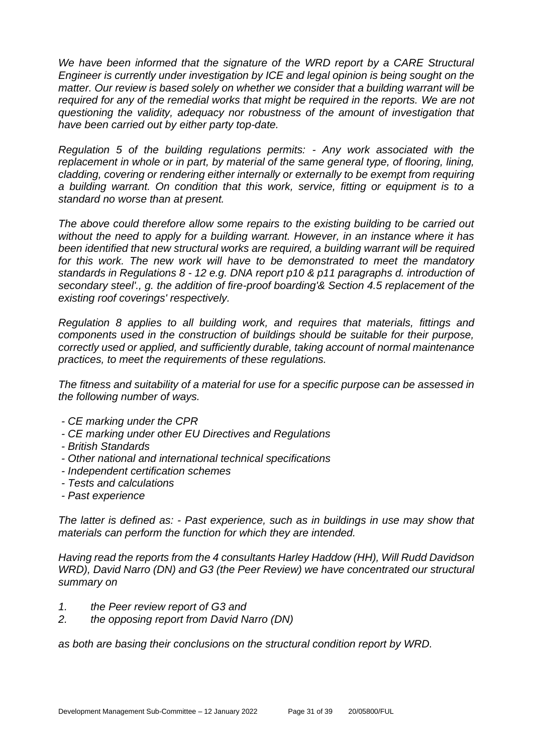We have been informed that the signature of the WRD report by a CARE Structural *Engineer is currently under investigation by ICE and legal opinion is being sought on the matter. Our review is based solely on whether we consider that a building warrant will be required for any of the remedial works that might be required in the reports. We are not questioning the validity, adequacy nor robustness of the amount of investigation that have been carried out by either party top-date.*

*Regulation 5 of the building regulations permits: - Any work associated with the*  replacement in whole or in part, by material of the same general type, of flooring, lining, *cladding, covering or rendering either internally or externally to be exempt from requiring a building warrant. On condition that this work, service, fitting or equipment is to a standard no worse than at present.* 

*The above could therefore allow some repairs to the existing building to be carried out without the need to apply for a building warrant. However, in an instance where it has been identified that new structural works are required, a building warrant will be required*  for this work. The new work will have to be demonstrated to meet the mandatory *standards in Regulations 8 - 12 e.g. DNA report p10 & p11 paragraphs d. introduction of secondary steel'., g. the addition of fire-proof boarding'& Section 4.5 replacement of the existing roof coverings' respectively.*

*Regulation 8 applies to all building work, and requires that materials, fittings and components used in the construction of buildings should be suitable for their purpose, correctly used or applied, and sufficiently durable, taking account of normal maintenance practices, to meet the requirements of these regulations.* 

*The fitness and suitability of a material for use for a specific purpose can be assessed in the following number of ways.*

- *- CE marking under the CPR*
- *- CE marking under other EU Directives and Regulations*
- *- British Standards*
- *- Other national and international technical specifications*
- *- Independent certification schemes*
- *- Tests and calculations*
- *- Past experience*

*The latter is defined as: - Past experience, such as in buildings in use may show that materials can perform the function for which they are intended.*

*Having read the reports from the 4 consultants Harley Haddow (HH), Will Rudd Davidson WRD), David Narro (DN) and G3 (the Peer Review) we have concentrated our structural summary on* 

- *1. the Peer review report of G3 and*
- *2. the opposing report from David Narro (DN)*

*as both are basing their conclusions on the structural condition report by WRD.*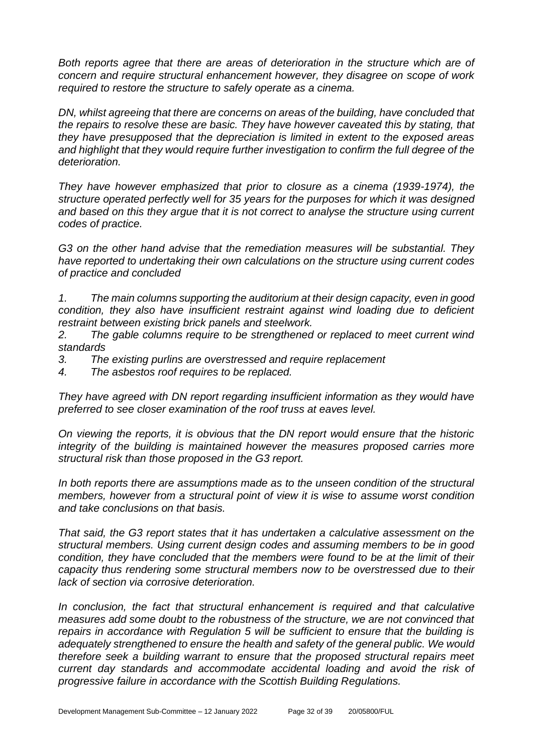*Both reports agree that there are areas of deterioration in the structure which are of concern and require structural enhancement however, they disagree on scope of work required to restore the structure to safely operate as a cinema.*

*DN, whilst agreeing that there are concerns on areas of the building, have concluded that the repairs to resolve these are basic. They have however caveated this by stating, that they have presupposed that the depreciation is limited in extent to the exposed areas and highlight that they would require further investigation to confirm the full degree of the deterioration.* 

*They have however emphasized that prior to closure as a cinema (1939-1974), the structure operated perfectly well for 35 years for the purposes for which it was designed and based on this they argue that it is not correct to analyse the structure using current codes of practice.*

*G3 on the other hand advise that the remediation measures will be substantial. They have reported to undertaking their own calculations on the structure using current codes of practice and concluded* 

*1. The main columns supporting the auditorium at their design capacity, even in good condition, they also have insufficient restraint against wind loading due to deficient restraint between existing brick panels and steelwork.*

*2. The gable columns require to be strengthened or replaced to meet current wind standards*

*3. The existing purlins are overstressed and require replacement*

*4. The asbestos roof requires to be replaced.*

*They have agreed with DN report regarding insufficient information as they would have preferred to see closer examination of the roof truss at eaves level.*

*On viewing the reports, it is obvious that the DN report would ensure that the historic integrity of the building is maintained however the measures proposed carries more structural risk than those proposed in the G3 report.* 

*In both reports there are assumptions made as to the unseen condition of the structural members, however from a structural point of view it is wise to assume worst condition and take conclusions on that basis.* 

*That said, the G3 report states that it has undertaken a calculative assessment on the structural members. Using current design codes and assuming members to be in good condition, they have concluded that the members were found to be at the limit of their capacity thus rendering some structural members now to be overstressed due to their lack of section via corrosive deterioration.*

In conclusion, the fact that structural enhancement is required and that calculative *measures add some doubt to the robustness of the structure, we are not convinced that repairs in accordance with Regulation 5 will be sufficient to ensure that the building is adequately strengthened to ensure the health and safety of the general public. We would therefore seek a building warrant to ensure that the proposed structural repairs meet current day standards and accommodate accidental loading and avoid the risk of progressive failure in accordance with the Scottish Building Regulations.*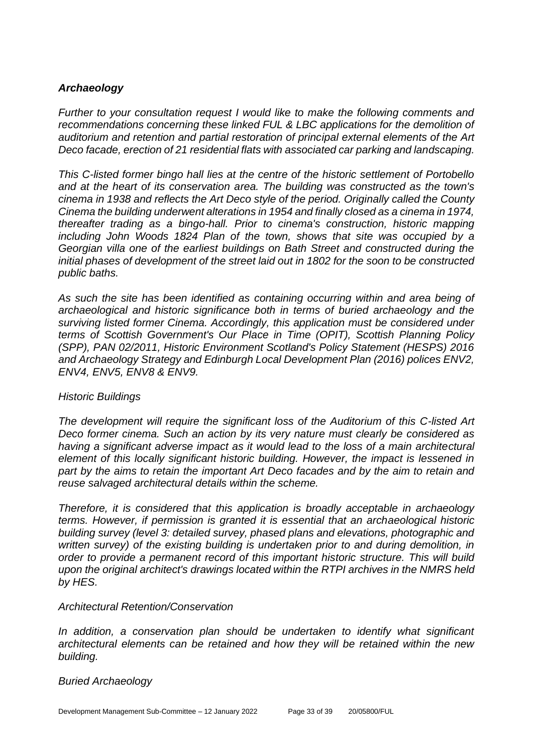#### *Archaeology*

*Further to your consultation request I would like to make the following comments and recommendations concerning these linked FUL & LBC applications for the demolition of auditorium and retention and partial restoration of principal external elements of the Art Deco facade, erection of 21 residential flats with associated car parking and landscaping.*

*This C-listed former bingo hall lies at the centre of the historic settlement of Portobello and at the heart of its conservation area. The building was constructed as the town's cinema in 1938 and reflects the Art Deco style of the period. Originally called the County Cinema the building underwent alterations in 1954 and finally closed as a cinema in 1974, thereafter trading as a bingo-hall. Prior to cinema's construction, historic mapping including John Woods 1824 Plan of the town, shows that site was occupied by a Georgian villa one of the earliest buildings on Bath Street and constructed during the initial phases of development of the street laid out in 1802 for the soon to be constructed public baths.* 

*As such the site has been identified as containing occurring within and area being of archaeological and historic significance both in terms of buried archaeology and the surviving listed former Cinema. Accordingly, this application must be considered under terms of Scottish Government's Our Place in Time (OPIT), Scottish Planning Policy (SPP), PAN 02/2011, Historic Environment Scotland's Policy Statement (HESPS) 2016 and Archaeology Strategy and Edinburgh Local Development Plan (2016) polices ENV2, ENV4, ENV5, ENV8 & ENV9.* 

#### *Historic Buildings*

*The development will require the significant loss of the Auditorium of this C-listed Art Deco former cinema. Such an action by its very nature must clearly be considered as having a significant adverse impact as it would lead to the loss of a main architectural element of this locally significant historic building. However, the impact is lessened in part by the aims to retain the important Art Deco facades and by the aim to retain and reuse salvaged architectural details within the scheme.* 

*Therefore, it is considered that this application is broadly acceptable in archaeology terms. However, if permission is granted it is essential that an archaeological historic building survey (level 3: detailed survey, phased plans and elevations, photographic and written survey) of the existing building is undertaken prior to and during demolition, in order to provide a permanent record of this important historic structure. This will build upon the original architect's drawings located within the RTPI archives in the NMRS held by HES.*

#### *Architectural Retention/Conservation*

*In addition, a conservation plan should be undertaken to identify what significant architectural elements can be retained and how they will be retained within the new building.*

*Buried Archaeology*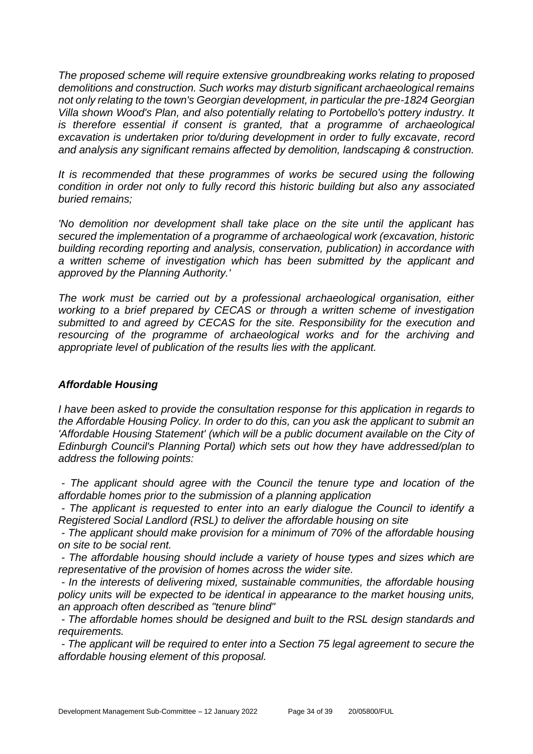*The proposed scheme will require extensive groundbreaking works relating to proposed demolitions and construction. Such works may disturb significant archaeological remains not only relating to the town's Georgian development, in particular the pre-1824 Georgian Villa shown Wood's Plan, and also potentially relating to Portobello's pottery industry. It is therefore essential if consent is granted, that a programme of archaeological excavation is undertaken prior to/during development in order to fully excavate, record and analysis any significant remains affected by demolition, landscaping & construction.*

It is recommended that these programmes of works be secured using the following *condition in order not only to fully record this historic building but also any associated buried remains;*

*'No demolition nor development shall take place on the site until the applicant has secured the implementation of a programme of archaeological work (excavation, historic building recording reporting and analysis, conservation, publication) in accordance with a written scheme of investigation which has been submitted by the applicant and approved by the Planning Authority.'* 

*The work must be carried out by a professional archaeological organisation, either working to a brief prepared by CECAS or through a written scheme of investigation submitted to and agreed by CECAS for the site. Responsibility for the execution and resourcing of the programme of archaeological works and for the archiving and appropriate level of publication of the results lies with the applicant.* 

#### *Affordable Housing*

*I have been asked to provide the consultation response for this application in regards to the Affordable Housing Policy. In order to do this, can you ask the applicant to submit an 'Affordable Housing Statement' (which will be a public document available on the City of Edinburgh Council's Planning Portal) which sets out how they have addressed/plan to address the following points:* 

*- The applicant should agree with the Council the tenure type and location of the affordable homes prior to the submission of a planning application* 

*- The applicant is requested to enter into an early dialogue the Council to identify a Registered Social Landlord (RSL) to deliver the affordable housing on site* 

*- The applicant should make provision for a minimum of 70% of the affordable housing on site to be social rent.* 

*- The affordable housing should include a variety of house types and sizes which are representative of the provision of homes across the wider site.* 

*- In the interests of delivering mixed, sustainable communities, the affordable housing policy units will be expected to be identical in appearance to the market housing units, an approach often described as "tenure blind"* 

*- The affordable homes should be designed and built to the RSL design standards and requirements.* 

*- The applicant will be required to enter into a Section 75 legal agreement to secure the affordable housing element of this proposal.*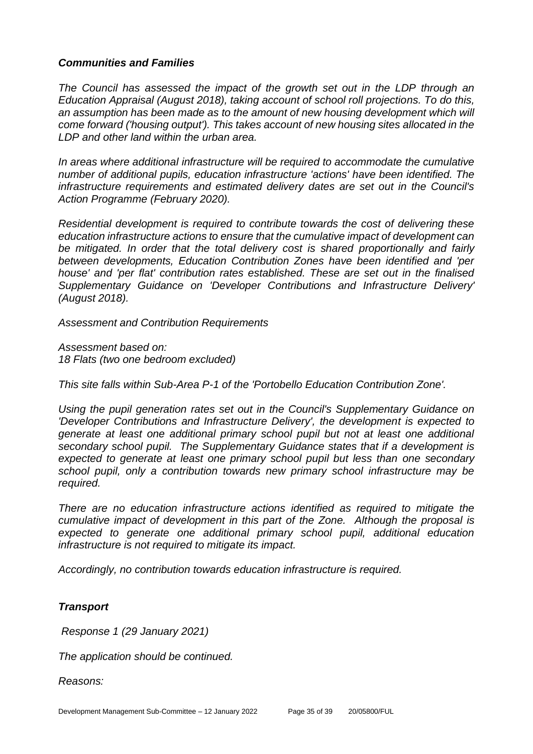#### *Communities and Families*

*The Council has assessed the impact of the growth set out in the LDP through an Education Appraisal (August 2018), taking account of school roll projections. To do this,*  an assumption has been made as to the amount of new housing development which will *come forward ('housing output'). This takes account of new housing sites allocated in the LDP and other land within the urban area.*

*In areas where additional infrastructure will be required to accommodate the cumulative number of additional pupils, education infrastructure 'actions' have been identified. The infrastructure requirements and estimated delivery dates are set out in the Council's Action Programme (February 2020).*

*Residential development is required to contribute towards the cost of delivering these education infrastructure actions to ensure that the cumulative impact of development can be mitigated. In order that the total delivery cost is shared proportionally and fairly between developments, Education Contribution Zones have been identified and 'per house' and 'per flat' contribution rates established. These are set out in the finalised Supplementary Guidance on 'Developer Contributions and Infrastructure Delivery' (August 2018).* 

*Assessment and Contribution Requirements*

*Assessment based on: 18 Flats (two one bedroom excluded)* 

*This site falls within Sub-Area P-1 of the 'Portobello Education Contribution Zone'.* 

*Using the pupil generation rates set out in the Council's Supplementary Guidance on 'Developer Contributions and Infrastructure Delivery', the development is expected to generate at least one additional primary school pupil but not at least one additional secondary school pupil. The Supplementary Guidance states that if a development is expected to generate at least one primary school pupil but less than one secondary school pupil, only a contribution towards new primary school infrastructure may be required.*

*There are no education infrastructure actions identified as required to mitigate the cumulative impact of development in this part of the Zone. Although the proposal is expected to generate one additional primary school pupil, additional education infrastructure is not required to mitigate its impact.*

*Accordingly, no contribution towards education infrastructure is required.* 

#### *Transport*

*Response 1 (29 January 2021)* 

*The application should be continued.*

*Reasons:*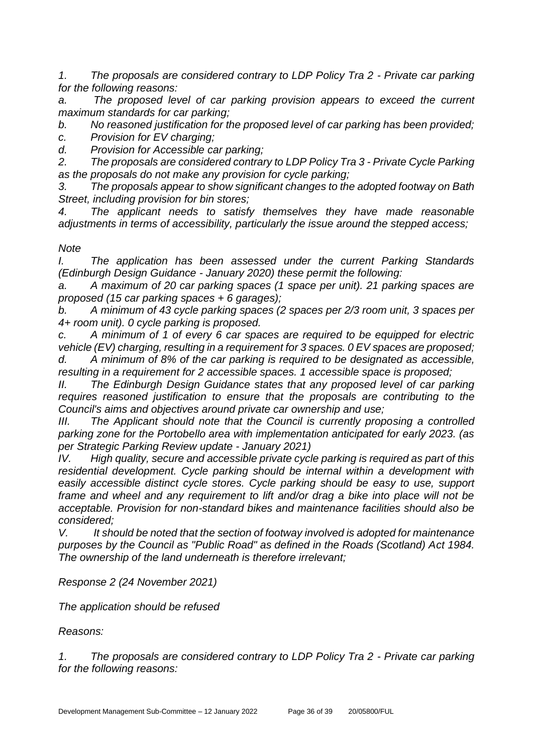*1. The proposals are considered contrary to LDP Policy Tra 2 - Private car parking for the following reasons:*

*a. The proposed level of car parking provision appears to exceed the current maximum standards for car parking;*

*b. No reasoned justification for the proposed level of car parking has been provided; c. Provision for EV charging;*

*d. Provision for Accessible car parking;*

*2. The proposals are considered contrary to LDP Policy Tra 3 - Private Cycle Parking as the proposals do not make any provision for cycle parking;*

*3. The proposals appear to show significant changes to the adopted footway on Bath Street, including provision for bin stores;*

*4. The applicant needs to satisfy themselves they have made reasonable adjustments in terms of accessibility, particularly the issue around the stepped access;*

#### *Note*

*I. The application has been assessed under the current Parking Standards (Edinburgh Design Guidance - January 2020) these permit the following:*

*a. A maximum of 20 car parking spaces (1 space per unit). 21 parking spaces are proposed (15 car parking spaces + 6 garages);*

*b. A minimum of 43 cycle parking spaces (2 spaces per 2/3 room unit, 3 spaces per 4+ room unit). 0 cycle parking is proposed.*

*c. A minimum of 1 of every 6 car spaces are required to be equipped for electric vehicle (EV) charging, resulting in a requirement for 3 spaces. 0 EV spaces are proposed; d. A minimum of 8% of the car parking is required to be designated as accessible, resulting in a requirement for 2 accessible spaces. 1 accessible space is proposed;* 

*II. The Edinburgh Design Guidance states that any proposed level of car parking requires reasoned justification to ensure that the proposals are contributing to the Council's aims and objectives around private car ownership and use;*

*III. The Applicant should note that the Council is currently proposing a controlled parking zone for the Portobello area with implementation anticipated for early 2023. (as per Strategic Parking Review update - January 2021)*

*IV. High quality, secure and accessible private cycle parking is required as part of this residential development. Cycle parking should be internal within a development with easily accessible distinct cycle stores. Cycle parking should be easy to use, support*  frame and wheel and any requirement to lift and/or drag a bike into place will not be *acceptable. Provision for non-standard bikes and maintenance facilities should also be considered;*

*V. It should be noted that the section of footway involved is adopted for maintenance purposes by the Council as "Public Road" as defined in the Roads (Scotland) Act 1984. The ownership of the land underneath is therefore irrelevant;* 

*Response 2 (24 November 2021)* 

*The application should be refused*

*Reasons:*

*1. The proposals are considered contrary to LDP Policy Tra 2 - Private car parking for the following reasons:*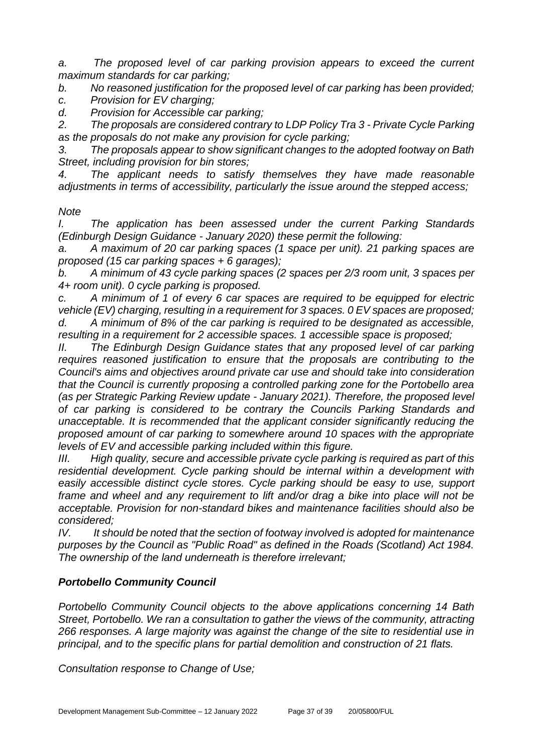*a. The proposed level of car parking provision appears to exceed the current maximum standards for car parking;*

*b. No reasoned justification for the proposed level of car parking has been provided;*

*c. Provision for EV charging;*

*d. Provision for Accessible car parking;*

*2. The proposals are considered contrary to LDP Policy Tra 3 - Private Cycle Parking as the proposals do not make any provision for cycle parking;*

*3. The proposals appear to show significant changes to the adopted footway on Bath Street, including provision for bin stores;*

*4. The applicant needs to satisfy themselves they have made reasonable adjustments in terms of accessibility, particularly the issue around the stepped access;*

#### *Note*

*I. The application has been assessed under the current Parking Standards (Edinburgh Design Guidance - January 2020) these permit the following:*

*a. A maximum of 20 car parking spaces (1 space per unit). 21 parking spaces are proposed (15 car parking spaces + 6 garages);*

*b. A minimum of 43 cycle parking spaces (2 spaces per 2/3 room unit, 3 spaces per 4+ room unit). 0 cycle parking is proposed.*

*c. A minimum of 1 of every 6 car spaces are required to be equipped for electric vehicle (EV) charging, resulting in a requirement for 3 spaces. 0 EV spaces are proposed; d. A minimum of 8% of the car parking is required to be designated as accessible,* 

*resulting in a requirement for 2 accessible spaces. 1 accessible space is proposed;* 

*II. The Edinburgh Design Guidance states that any proposed level of car parking requires reasoned justification to ensure that the proposals are contributing to the Council's aims and objectives around private car use and should take into consideration that the Council is currently proposing a controlled parking zone for the Portobello area (as per Strategic Parking Review update - January 2021). Therefore, the proposed level of car parking is considered to be contrary the Councils Parking Standards and unacceptable. It is recommended that the applicant consider significantly reducing the proposed amount of car parking to somewhere around 10 spaces with the appropriate levels of EV and accessible parking included within this figure.*

*III. High quality, secure and accessible private cycle parking is required as part of this residential development. Cycle parking should be internal within a development with easily accessible distinct cycle stores. Cycle parking should be easy to use, support frame and wheel and any requirement to lift and/or drag a bike into place will not be acceptable. Provision for non-standard bikes and maintenance facilities should also be considered;*

*IV. It should be noted that the section of footway involved is adopted for maintenance purposes by the Council as "Public Road" as defined in the Roads (Scotland) Act 1984. The ownership of the land underneath is therefore irrelevant;* 

#### *Portobello Community Council*

*Portobello Community Council objects to the above applications concerning 14 Bath Street, Portobello. We ran a consultation to gather the views of the community, attracting 266 responses. A large majority was against the change of the site to residential use in principal, and to the specific plans for partial demolition and construction of 21 flats.*

*Consultation response to Change of Use;*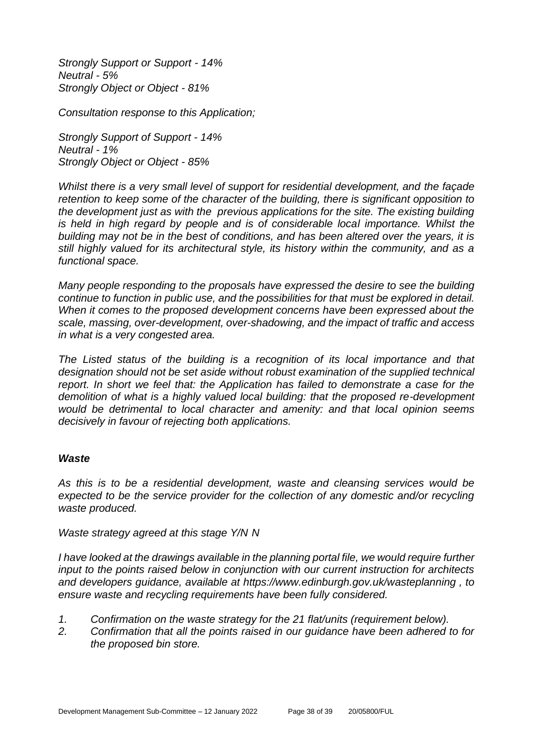*Strongly Support or Support - 14% Neutral - 5% Strongly Object or Object - 81%*

*Consultation response to this Application;* 

*Strongly Support of Support - 14% Neutral - 1% Strongly Object or Object - 85%*

*Whilst there is a very small level of support for residential development, and the façade retention to keep some of the character of the building, there is significant opposition to the development just as with the previous applications for the site. The existing building is held in high regard by people and is of considerable local importance. Whilst the building may not be in the best of conditions, and has been altered over the years, it is still highly valued for its architectural style, its history within the community, and as a functional space.*

*Many people responding to the proposals have expressed the desire to see the building continue to function in public use, and the possibilities for that must be explored in detail. When it comes to the proposed development concerns have been expressed about the scale, massing, over-development, over-shadowing, and the impact of traffic and access in what is a very congested area.*

*The Listed status of the building is a recognition of its local importance and that designation should not be set aside without robust examination of the supplied technical report. In short we feel that: the Application has failed to demonstrate a case for the demolition of what is a highly valued local building: that the proposed re-development would be detrimental to local character and amenity: and that local opinion seems decisively in favour of rejecting both applications.* 

#### *Waste*

*As this is to be a residential development, waste and cleansing services would be expected to be the service provider for the collection of any domestic and/or recycling waste produced.* 

*Waste strategy agreed at this stage Y/N N*

*I have looked at the drawings available in the planning portal file, we would require further input to the points raised below in conjunction with our current instruction for architects and developers guidance, available at https://www.edinburgh.gov.uk/wasteplanning , to ensure waste and recycling requirements have been fully considered.*

- *1. Confirmation on the waste strategy for the 21 flat/units (requirement below).*
- *2. Confirmation that all the points raised in our guidance have been adhered to for the proposed bin store.*